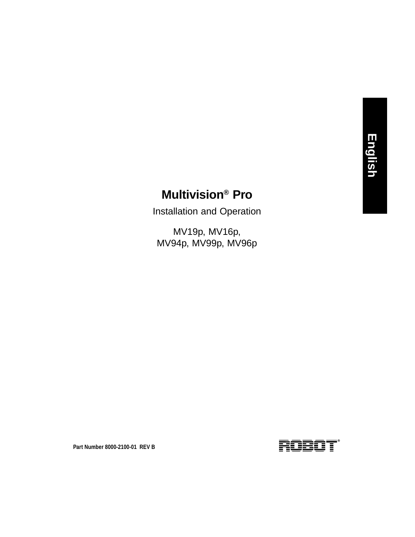### **Multivision® Pro**

Installation and Operation

MV19p, MV16p, MV94p, MV99p, MV96p

**Part Number 8000-2100-01 REV B**

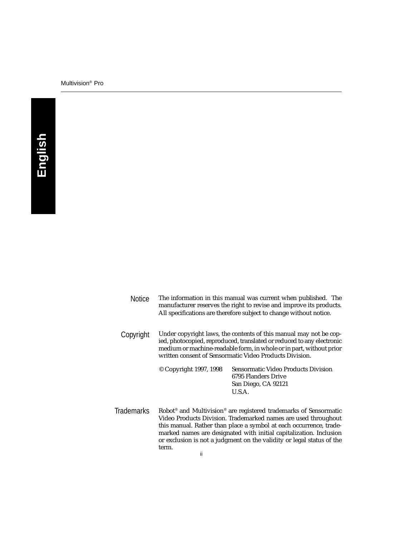#### Multivision® Pro

| <b>Notice</b>     | The information in this manual was current when published. The<br>manufacturer reserves the right to revise and improve its products.<br>All specifications are therefore subject to change without notice.                                                                                                                                                                                   |                                                                                             |  |
|-------------------|-----------------------------------------------------------------------------------------------------------------------------------------------------------------------------------------------------------------------------------------------------------------------------------------------------------------------------------------------------------------------------------------------|---------------------------------------------------------------------------------------------|--|
| Copyright         | Under copyright laws, the contents of this manual may not be cop-<br>ied, photocopied, reproduced, translated or reduced to any electronic<br>medium or machine-readable form, in whole or in part, without prior<br>written consent of Sensormatic Video Products Division.                                                                                                                  |                                                                                             |  |
|                   | © Copyright 1997, 1998                                                                                                                                                                                                                                                                                                                                                                        | Sensormatic Video Products Division<br>6795 Flanders Drive<br>San Diego, CA 92121<br>U.S.A. |  |
| <b>Trademarks</b> | Robot <sup>®</sup> and Multivision <sup>®</sup> are registered trademarks of Sensormatic<br>Video Products Division. Trademarked names are used throughout<br>this manual. Rather than place a symbol at each occurrence, trade-<br>marked names are designated with initial capitalization. Inclusion<br>or exclusion is not a judgment on the validity or legal status of the<br>term.<br>ш |                                                                                             |  |

ii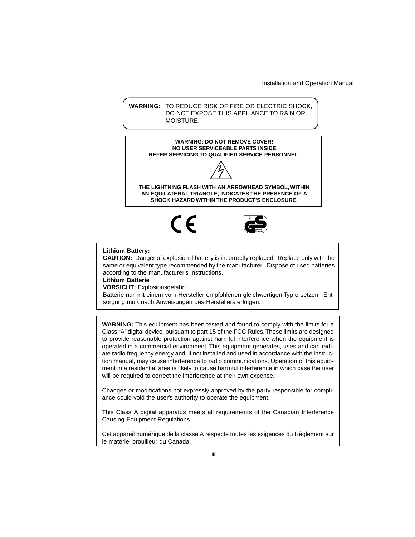Installation and Operation Manual

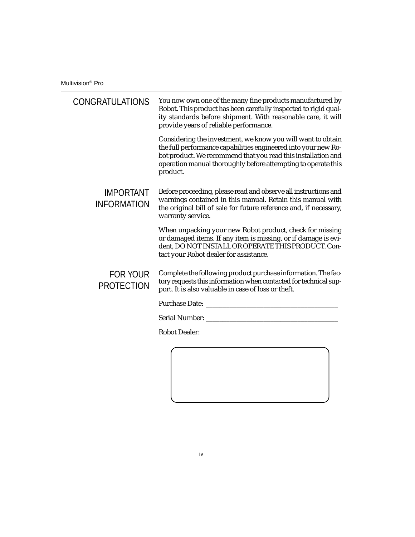Multivision® Pro

| <b>CONGRATULATIONS</b>                 | You now own one of the many fine products manufactured by<br>Robot. This product has been carefully inspected to rigid qual-<br>ity standards before shipment. With reasonable care, it will<br>provide years of reliable performance.                                      |
|----------------------------------------|-----------------------------------------------------------------------------------------------------------------------------------------------------------------------------------------------------------------------------------------------------------------------------|
|                                        | Considering the investment, we know you will want to obtain<br>the full performance capabilities engineered into your new Ro-<br>bot product. We recommend that you read this installation and<br>operation manual thoroughly before attempting to operate this<br>product. |
| <b>IMPORTANT</b><br><b>INFORMATION</b> | Before proceeding, please read and observe all instructions and<br>warnings contained in this manual. Retain this manual with<br>the original bill of sale for future reference and, if necessary,<br>warranty service.                                                     |
|                                        | When unpacking your new Robot product, check for missing<br>or damaged items. If any item is missing, or if damage is evi-<br>dent, DO NOT INSTALL OR OPERATE THIS PRODUCT. Con-<br>tact your Robot dealer for assistance.                                                  |
| <b>FOR YOUR</b><br><b>PROTECTION</b>   | Complete the following product purchase information. The fac-<br>tory requests this information when contacted for technical sup-<br>port. It is also valuable in case of loss or theft.                                                                                    |
|                                        |                                                                                                                                                                                                                                                                             |
|                                        |                                                                                                                                                                                                                                                                             |
|                                        | <b>Robot Dealer:</b>                                                                                                                                                                                                                                                        |
|                                        |                                                                                                                                                                                                                                                                             |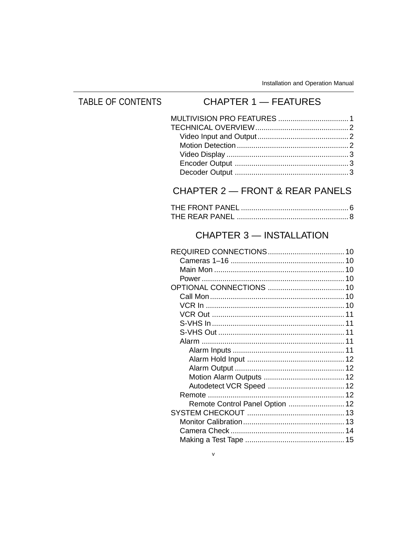#### **TABLE OF CONTENTS CHAPTER 1 - FEATURES** CHAPTER 2 - FRONT & REAR PANELS **CHAPTER 3 - INSTALLATION** Remote Control Panel Option ............................ 12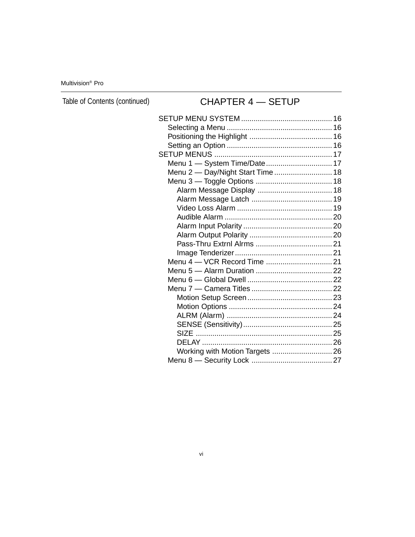Multivision® Pro

Table of Contents (continued)

### CHAPTER 4 — SETUP

| Menu 1 - System Time/Date 17     |
|----------------------------------|
| Menu 2 - Day/Night Start Time 18 |
|                                  |
|                                  |
|                                  |
|                                  |
|                                  |
|                                  |
|                                  |
|                                  |
|                                  |
|                                  |
|                                  |
|                                  |
|                                  |
|                                  |
|                                  |
|                                  |
|                                  |
|                                  |
|                                  |
| Working with Motion Targets  26  |
|                                  |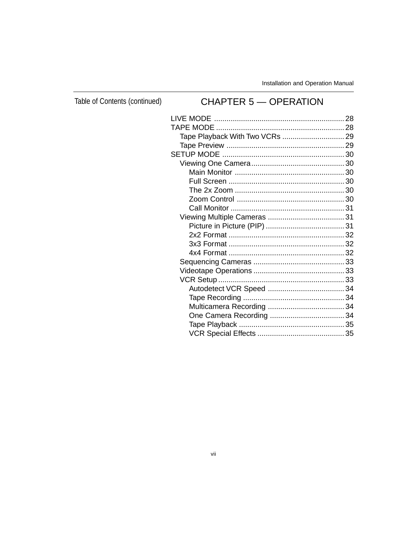Table of Contents (continued)

### **CHAPTER 5 - OPERATION**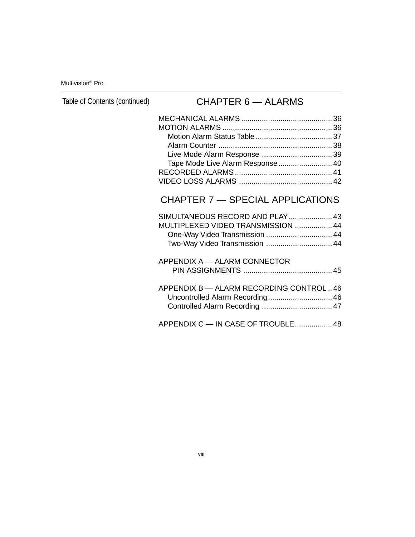Multivision® Pro

Table of Contents (continued)

### CHAPTER 6 — ALARMS

| Tape Mode Live Alarm Response  40 |  |
|-----------------------------------|--|
|                                   |  |
|                                   |  |

### CHAPTER 7 — SPECIAL APPLICATIONS

| SIMULTANEOUS RECORD AND PLAY 43<br>MULTIPLEXED VIDEO TRANSMISSION  44<br>One-Way Video Transmission  44<br>Two-Way Video Transmission  44 |  |
|-------------------------------------------------------------------------------------------------------------------------------------------|--|
| APPENDIX A - ALARM CONNECTOR                                                                                                              |  |
| APPENDIX B - ALARM RECORDING CONTROL46<br>Uncontrolled Alarm Recording 46                                                                 |  |
| APPENDIX C - IN CASE OF TROUBLE  48                                                                                                       |  |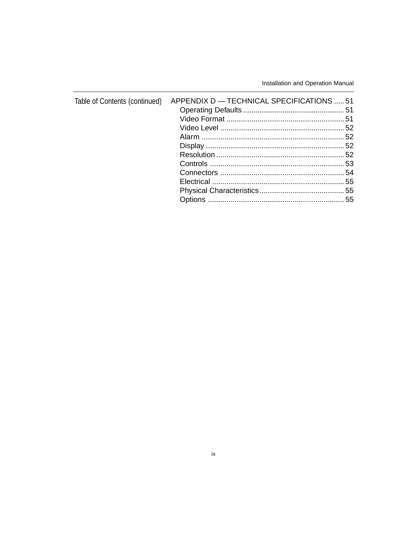Installation and Operation Manual

| Table of Contents (continued) APPENDIX D - TECHNICAL SPECIFICATIONS  51 |  |
|-------------------------------------------------------------------------|--|
|                                                                         |  |
|                                                                         |  |
|                                                                         |  |
|                                                                         |  |
|                                                                         |  |
|                                                                         |  |
|                                                                         |  |
|                                                                         |  |
|                                                                         |  |
|                                                                         |  |
|                                                                         |  |
|                                                                         |  |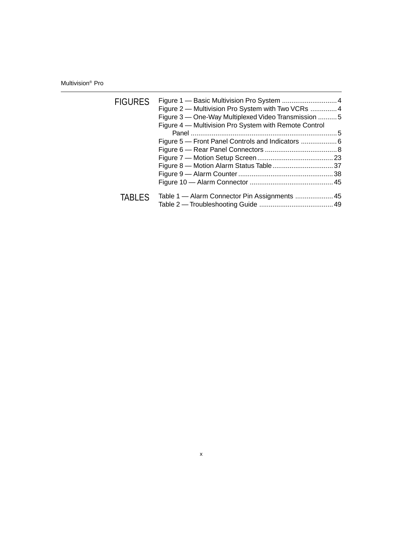Multivision® Pro

| <b>FIGURES</b> | Figure 2 – Multivision Pro System with Two VCRs  4<br>Figure 3 - One-Way Multiplexed Video Transmission 5<br>Figure 4 - Multivision Pro System with Remote Control |  |
|----------------|--------------------------------------------------------------------------------------------------------------------------------------------------------------------|--|
|                | Figure 5 – Front Panel Controls and Indicators  6                                                                                                                  |  |
| <b>TABLES</b>  | Table 1 - Alarm Connector Pin Assignments  45                                                                                                                      |  |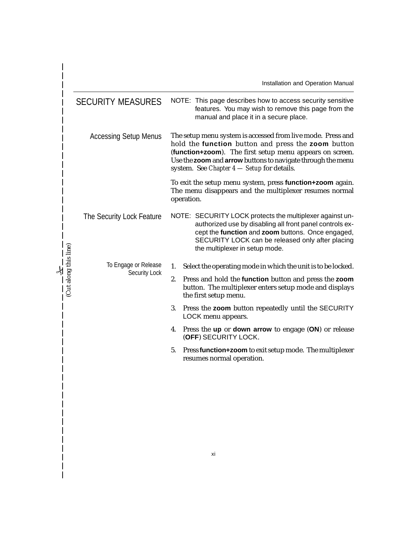|                       |                              | Installation and Operation Manual                                                                                                                                                                                                                                                            |
|-----------------------|------------------------------|----------------------------------------------------------------------------------------------------------------------------------------------------------------------------------------------------------------------------------------------------------------------------------------------|
|                       | <b>SECURITY MEASURES</b>     | NOTE: This page describes how to access security sensitive<br>features. You may wish to remove this page from the<br>manual and place it in a secure place.                                                                                                                                  |
|                       | <b>Accessing Setup Menus</b> | The setup menu system is accessed from live mode. Press and<br>hold the function button and press the zoom button<br>(function+zoom). The first setup menu appears on screen.<br>Use the zoom and arrow buttons to navigate through the menu<br>system. See Chapter $4$ - Setup for details. |
|                       |                              | To exit the setup menu system, press function+zoom again.<br>The menu disappears and the multiplexer resumes normal<br>operation.                                                                                                                                                            |
|                       | The Security Lock Feature    | NOTE: SECURITY LOCK protects the multiplexer against un-<br>authorized use by disabling all front panel controls ex-<br>cept the function and zoom buttons. Once engaged,<br>SECURITY LOCK can be released only after placing<br>the multiplexer in setup mode.                              |
|                       | To Engage or Release         | 1.<br>Select the operating mode in which the unit is to be locked.                                                                                                                                                                                                                           |
| (Cut along this line) | Security Lock                | Press and hold the function button and press the zoom<br>2.<br>button. The multiplexer enters setup mode and displays<br>the first setup menu.                                                                                                                                               |
|                       |                              | 3.<br>Press the zoom button repeatedly until the SECURITY<br>LOCK menu appears.                                                                                                                                                                                                              |
|                       |                              | Press the up or down arrow to engage (ON) or release<br>4.<br>(OFF) SECURITY LOCK.                                                                                                                                                                                                           |
|                       |                              | 5.<br>Press function+zoom to exit setup mode. The multiplexer<br>resumes normal operation.                                                                                                                                                                                                   |

 $\overline{\phantom{a}}$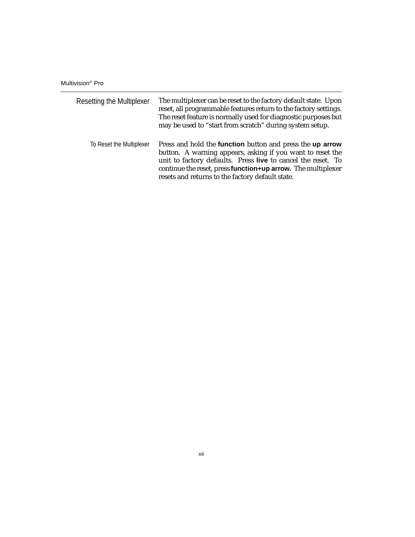Multivision® Pro

| <b>Resetting the Multiplexer</b> | The multiplexer can be reset to the factory default state. Upon<br>reset, all programmable features return to the factory settings.<br>The reset feature is normally used for diagnostic purposes but<br>may be used to "start from scratch" during system setup.                                                         |
|----------------------------------|---------------------------------------------------------------------------------------------------------------------------------------------------------------------------------------------------------------------------------------------------------------------------------------------------------------------------|
| To Reset the Multiplexer         | Press and hold the <b>function</b> button and press the <b>up arrow</b><br>button. A warning appears, asking if you want to reset the<br>unit to factory defaults. Press live to cancel the reset. To<br>continue the reset, press function+up arrow. The multiplexer<br>resets and returns to the factory default state. |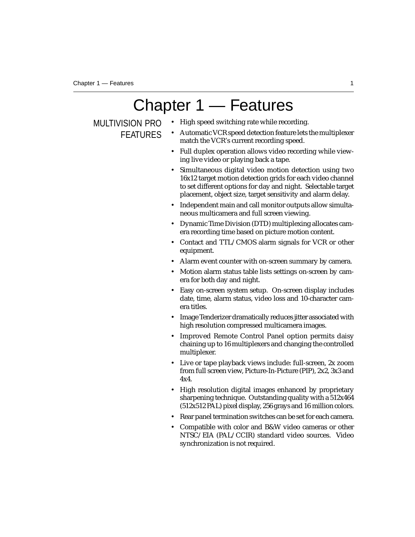# Chapter 1 — Features

MULTIVISION PRO FEATURES

- High speed switching rate while recording.
- Automatic VCR speed detection feature lets the multiplexer match the VCR's current recording speed.
- Full duplex operation allows video recording while viewing live video or playing back a tape.
- Simultaneous digital video motion detection using two 16x12 target motion detection grids for each video channel to set different options for day and night. Selectable target placement, object size, target sensitivity and alarm delay.
- Independent main and call monitor outputs allow simultaneous multicamera and full screen viewing.
- Dynamic Time Division (DTD) multiplexing allocates camera recording time based on picture motion content.
- Contact and TTL/CMOS alarm signals for VCR or other equipment.
- Alarm event counter with on-screen summary by camera.
- Motion alarm status table lists settings on-screen by camera for both day and night.
- Easy on-screen system setup. On-screen display includes date, time, alarm status, video loss and 10-character camera titles.
- Image Tenderizer dramatically reduces jitter associated with high resolution compressed multicamera images.
- Improved Remote Control Panel option permits daisy chaining up to 16 multiplexers and changing the controlled multiplexer.
- Live or tape playback views include: full-screen, 2x zoom from full screen view, Picture-In-Picture (PIP), 2x2, 3x3 and 4x4.
- High resolution digital images enhanced by proprietary sharpening technique. Outstanding quality with a 512x464 (512x512 PAL) pixel display, 256 grays and 16 million colors.
- Rear panel termination switches can be set for each camera.
- Compatible with color and B&W video cameras or other NTSC/EIA (PAL/CCIR) standard video sources. Video synchronization is not required.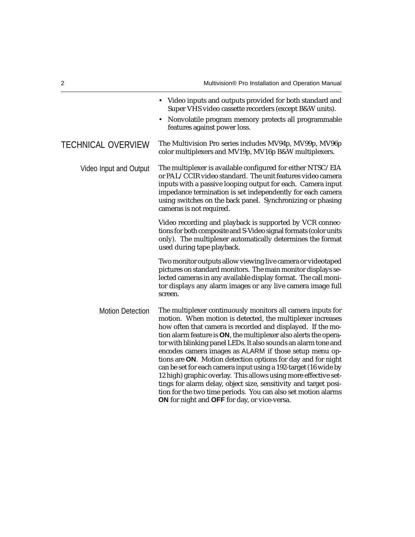• Video inputs and outputs provided for both standard and Super VHS video cassette recorders (except B&W units). • Nonvolatile program memory protects all programmable features against power loss. TECHNICAL OVERVIEW The Multivision Pro series includes MV94p, MV99p, MV96p color multiplexers and MV19p, MV16p B&W multiplexers. Video Input and Output The multiplexer is available configured for either NTSC/EIA or PAL/CCIR video standard. The unit features video camera inputs with a passive looping output for each. Camera input impedance termination is set independently for each camera using switches on the back panel. Synchronizing or phasing cameras is not required. Video recording and playback is supported by VCR connections for both composite and S-Video signal formats (color units only). The multiplexer automatically determines the format used during tape playback. Two monitor outputs allow viewing live camera or videotaped pictures on standard monitors. The main monitor displays selected cameras in any available display format. The call monitor displays any alarm images or any live camera image full screen. Motion Detection The multiplexer continuously monitors all camera inputs for motion. When motion is detected, the multiplexer increases how often that camera is recorded and displayed. If the motion alarm feature is **ON**, the multiplexer also alerts the operator with blinking panel LEDs. It also sounds an alarm tone and encodes camera images as ALARM if those setup menu options are **ON**. Motion detection options for day and for night can be set for each camera input using a 192-target (16 wide by 12 high) graphic overlay. This allows using more effective settings for alarm delay, object size, sensitivity and target position for the two time periods. You can also set motion alarms **ON** for night and **OFF** for day, or vice-versa.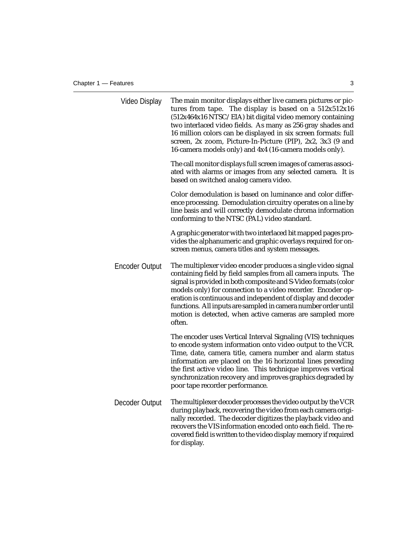| Video Display         | The main monitor displays either live camera pictures or pic-<br>tures from tape. The display is based on a 512x512x16<br>(512x464x16 NTSC/EIA) bit digital video memory containing<br>two interlaced video fields. As many as 256 gray shades and<br>16 million colors can be displayed in six screen formats: full<br>screen, 2x zoom, Picture-In-Picture (PIP), 2x2, 3x3 (9 and<br>16-camera models only) and 4x4 (16-camera models only).                            |
|-----------------------|--------------------------------------------------------------------------------------------------------------------------------------------------------------------------------------------------------------------------------------------------------------------------------------------------------------------------------------------------------------------------------------------------------------------------------------------------------------------------|
|                       | The call monitor displays full screen images of cameras associ-<br>ated with alarms or images from any selected camera. It is<br>based on switched analog camera video.                                                                                                                                                                                                                                                                                                  |
|                       | Color demodulation is based on luminance and color differ-<br>ence processing. Demodulation circuitry operates on a line by<br>line basis and will correctly demodulate chroma information<br>conforming to the NTSC (PAL) video standard.                                                                                                                                                                                                                               |
|                       | A graphic generator with two interlaced bit mapped pages pro-<br>vides the alphanumeric and graphic overlays required for on-<br>screen menus, camera titles and system messages.                                                                                                                                                                                                                                                                                        |
| <b>Encoder Output</b> | The multiplexer video encoder produces a single video signal<br>containing field by field samples from all camera inputs. The<br>signal is provided in both composite and S-Video formats (color<br>models only) for connection to a video recorder. Encoder op-<br>eration is continuous and independent of display and decoder<br>functions. All inputs are sampled in camera number order until<br>motion is detected, when active cameras are sampled more<br>often. |
|                       | The encoder uses Vertical Interval Signaling (VIS) techniques<br>to encode system information onto video output to the VCR.<br>Time, date, camera title, camera number and alarm status<br>information are placed on the 16 horizontal lines preceding<br>the first active video line. This technique improves vertical<br>synchronization recovery and improves graphics degraded by<br>poor tape recorder performance.                                                 |
| Decoder Output        | The multiplexer decoder processes the video output by the VCR<br>during playback, recovering the video from each camera origi-<br>nally recorded. The decoder digitizes the playback video and<br>recovers the VIS information encoded onto each field. The re-<br>covered field is written to the video display memory if required<br>for display.                                                                                                                      |
|                       |                                                                                                                                                                                                                                                                                                                                                                                                                                                                          |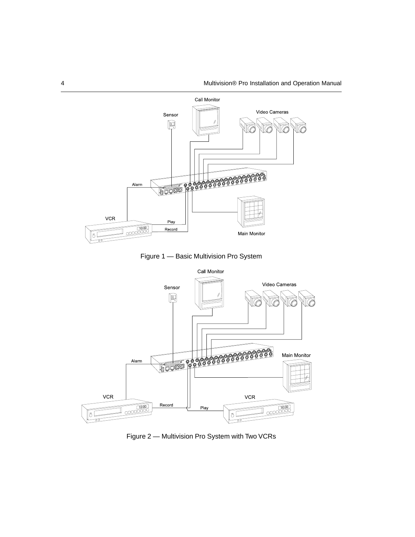

Figure 1 — Basic Multivision Pro System



Figure 2 — Multivision Pro System with Two VCRs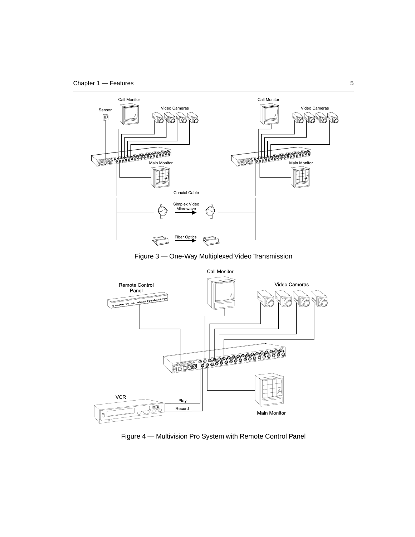

Figure 3 — One-Way Multiplexed Video Transmission



Figure 4 — Multivision Pro System with Remote Control Panel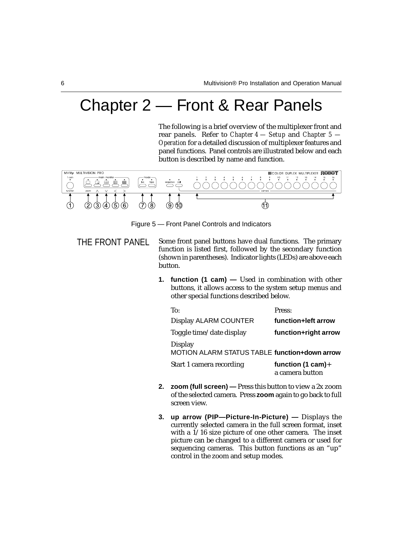## Chapter 2 — Front & Rear Panels

The following is a brief overview of the multiplexer front and rear panels. Refer to *Chapter 4 — Setup* and *Chapter 5 — Operation* for a detailed discussion of multiplexer features and panel functions. Panel controls are illustrated below and each button is described by name and function.



Figure 5 — Front Panel Controls and Indicators

- THE FRONT PANEL Some front panel buttons have dual functions. The primary function is listed first, followed by the secondary function (shown in parentheses). Indicator lights (LEDs) are above each button.
	- **1. function (1 cam)** Used in combination with other buttons, it allows access to the system setup menus and other special functions described below.

| To:                                                      | Press:                                  |
|----------------------------------------------------------|-----------------------------------------|
| Display ALARM COUNTER                                    | function+left arrow                     |
| Toggle time/date display                                 | function+right arrow                    |
| Display<br>MOTION ALARM STATUS TABLE function+down arrow |                                         |
| Start 1 camera recording                                 | function (1 cam) $+$<br>a camera button |

- **2. zoom (full screen)** Press this button to view a 2x zoom of the selected camera. Press **zoom** again to go back to full screen view.
- **3. up arrow (PIP—Picture-In-Picture) —** Displays the currently selected camera in the full screen format, inset with a  $1/16$  size picture of one other camera. The inset picture can be changed to a different camera or used for sequencing cameras. This button functions as an "up" control in the zoom and setup modes.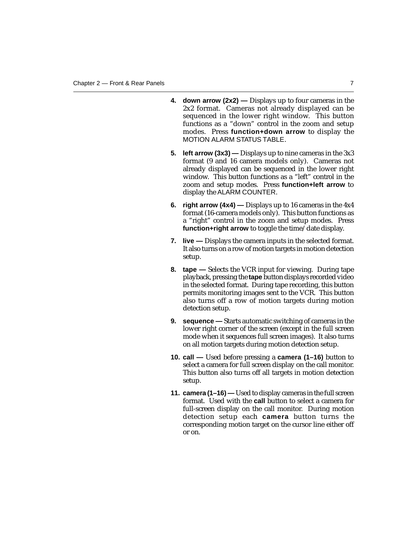- **4. down arrow (2x2) —** Displays up to four cameras in the 2x2 format. Cameras not already displayed can be sequenced in the lower right window. This button functions as a "down" control in the zoom and setup modes. Press **function+down arrow** to display the MOTION ALARM STATUS TABLE.
- **5. left arrow (3x3) —** Displays up to nine cameras in the 3x3 format (9 and 16 camera models only). Cameras not already displayed can be sequenced in the lower right window. This button functions as a "left" control in the zoom and setup modes. Press **function+left arrow** to display the ALARM COUNTER.
- **6. right arrow (4x4) —** Displays up to 16 cameras in the 4x4 format (16-camera models only). This button functions as a "right" control in the zoom and setup modes. Press **function+right arrow** to toggle the time/date display.
- **7. live —** Displays the camera inputs in the selected format. It also turns on a row of motion targets in motion detection setup.
- **8. tape —** Selects the VCR input for viewing. During tape playback, pressing the **tape** button displays recorded video in the selected format. During tape recording, this button permits monitoring images sent to the VCR. This button also turns off a row of motion targets during motion detection setup.
- **9. sequence —** Starts automatic switching of cameras in the lower right corner of the screen (except in the full screen mode when it sequences full screen images). It also turns on all motion targets during motion detection setup.
- **10. call —** Used before pressing a **camera (1–16)** button to select a camera for full screen display on the call monitor. This button also turns off all targets in motion detection setup.
- **11. camera (1–16) —** Used to display cameras in the full screen format. Used with the **call** button to select a camera for full-screen display on the call monitor. During motion detection setup each **camera** button turns the corresponding motion target on the cursor line either off or on.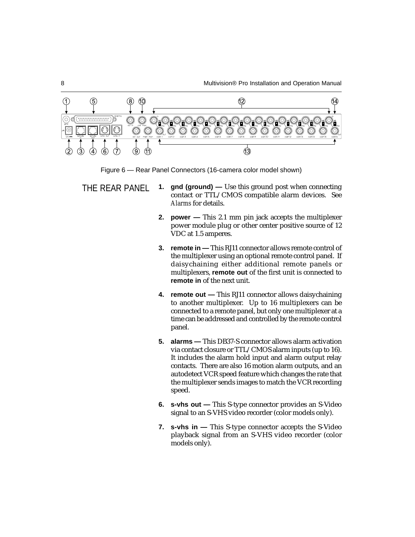

- *Alarms* for details. **2. power —** This 2.1 mm pin jack accepts the multiplexer
	- power module plug or other center positive source of 12 VDC at 1.5 amperes. **3. remote in —** This RJ11 connector allows remote control of
	- the multiplexer using an optional remote control panel. If daisychaining either additional remote panels or multiplexers, **remote out** of the first unit is connected to **remote in** of the next unit.
	- **4. remote out —** This RJ11 connector allows daisychaining to another multiplexer. Up to 16 multiplexers can be connected to a remote panel, but only one multiplexer at a time can be addressed and controlled by the remote control panel.
	- **5. alarms —** This DB37-S connector allows alarm activation via contact closure or TTL/CMOS alarm inputs (up to 16). It includes the alarm hold input and alarm output relay contacts. There are also 16 motion alarm outputs, and an autodetect VCR speed feature which changes the rate that the multiplexer sends images to match the VCR recording speed.
	- **6. s-vhs out —** This S-type connector provides an S-Video signal to an S-VHS video recorder (color models only).
	- **7. s-vhs in —** This S-type connector accepts the S-Video playback signal from an S-VHS video recorder (color models only).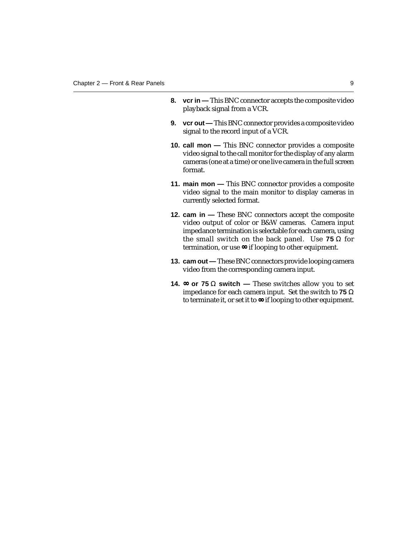- **8.** vcr in This BNC connector accepts the composite video playback signal from a VCR.
- **9.** vcr out This BNC connector provides a composite video signal to the record input of a VCR.
- **10. call mon —** This BNC connector provides a composite video signal to the call monitor for the display of any alarm cameras (one at a time) or one live camera in the full screen format.
- **11. main mon —** This BNC connector provides a composite video signal to the main monitor to display cameras in currently selected format.
- **12. cam in —** These BNC connectors accept the composite video output of color or B&W cameras. Camera input impedance termination is selectable for each camera, using the small switch on the back panel. Use **75** Ω for termination, or use ∞ if looping to other equipment.
- **13. cam out —** These BNC connectors provide looping camera video from the corresponding camera input.
- **14.** ∞ **or 75** Ω **switch** These switches allow you to set impedance for each camera input. Set the switch to **75** Ω to terminate it, or set it to ∞ if looping to other equipment.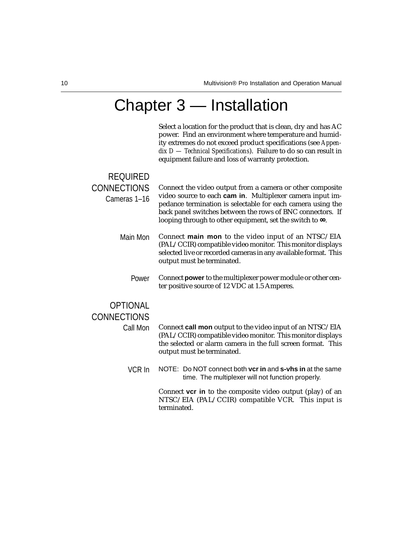### Chapter 3 — Installation

Select a location for the product that is clean, dry and has AC power. Find an environment where temperature and humidity extremes do not exceed product specifications (see *Appendix D — Technical Specifications*). Failure to do so can result in equipment failure and loss of warranty protection.

#### REQUIRED CONNECTIONS Connect the video output from a camera or other composite video source to each **cam in**. Multiplexer camera input impedance termination is selectable for each camera using the back panel switches between the rows of BNC connectors. If looping through to other equipment, set the switch to ∞. Cameras 1–16 Main Mon Connect **main mon** to the video input of an NTSC/EIA (PAL/CCIR) compatible video monitor. This monitor displays selected live or recorded cameras in any available format. This output must be terminated. Power Connect **power** to the multiplexer power module or other center positive source of 12 VDC at 1.5 Amperes. **OPTIONAL CONNECTIONS** Call Mon Connect **call mon** output to the video input of an NTSC/EIA (PAL/CCIR) compatible video monitor. This monitor displays the selected or alarm camera in the full screen format. This output must be terminated. VCR In NOTE: Do NOT connect both **vcr in** and **s-vhs in** at the same time. The multiplexer will not function properly.

Connect **vcr in** to the composite video output (play) of an NTSC/EIA (PAL/CCIR) compatible VCR. This input is terminated.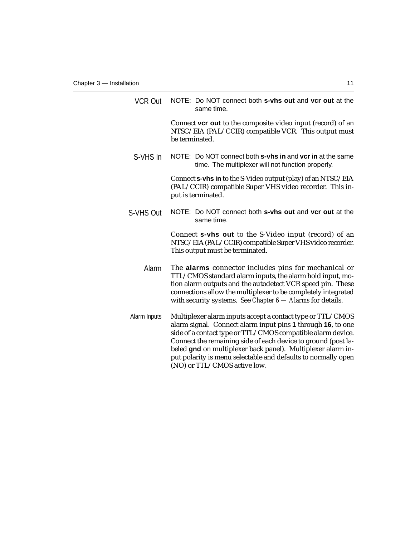| <b>VCR Out</b> | NOTE: Do NOT connect both s-vhs out and vcr out at the<br>same time.                                                                                                                                                                                                                                                                                                                      |
|----------------|-------------------------------------------------------------------------------------------------------------------------------------------------------------------------------------------------------------------------------------------------------------------------------------------------------------------------------------------------------------------------------------------|
|                | Connect <b>vcr out</b> to the composite video input (record) of an<br>NTSC/EIA (PAL/CCIR) compatible VCR. This output must<br>be terminated.                                                                                                                                                                                                                                              |
| S-VHS In       | NOTE: Do NOT connect both s-vhs in and vcr in at the same<br>time. The multiplexer will not function properly.                                                                                                                                                                                                                                                                            |
|                | Connect s-vhs in to the S-Video output (play) of an NTSC/EIA<br>(PAL/CCIR) compatible Super VHS video recorder. This in-<br>put is terminated.                                                                                                                                                                                                                                            |
| S-VHS Out      | NOTE: Do NOT connect both s-vhs out and vcr out at the<br>same time.                                                                                                                                                                                                                                                                                                                      |
|                | Connect s-vhs out to the S-Video input (record) of an<br>NTSC/EIA (PAL/CCIR) compatible Super VHS video recorder.<br>This output must be terminated.                                                                                                                                                                                                                                      |
| Alarm          | The alarms connector includes pins for mechanical or<br>TTL/CMOS standard alarm inputs, the alarm hold input, mo-<br>tion alarm outputs and the autodetect VCR speed pin. These<br>connections allow the multiplexer to be completely integrated<br>with security systems. See Chapter $6 -$ Alarms for details.                                                                          |
| Alarm Inputs   | Multiplexer alarm inputs accept a contact type or TTL/CMOS<br>alarm signal. Connect alarm input pins 1 through 16, to one<br>side of a contact type or TTL/CMOS compatible alarm device.<br>Connect the remaining side of each device to ground (post la-<br>beled gnd on multiplexer back panel). Multiplexer alarm in-<br>put polarity is menu selectable and defaults to normally open |

(NO) or TTL/CMOS active low.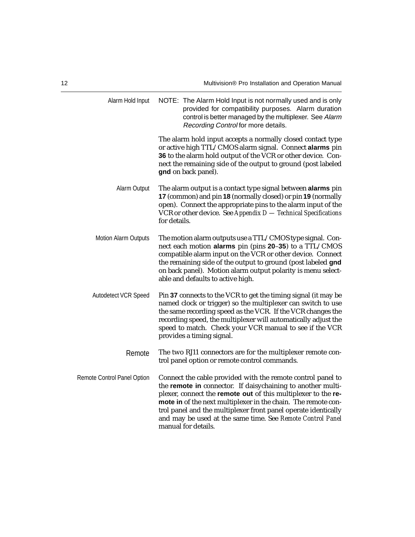| Alarm Hold Input            | NOTE: The Alarm Hold Input is not normally used and is only<br>provided for compatibility purposes. Alarm duration<br>control is better managed by the multiplexer. See Alarm<br>Recording Control for more details.                                                                                                                                                                                                |
|-----------------------------|---------------------------------------------------------------------------------------------------------------------------------------------------------------------------------------------------------------------------------------------------------------------------------------------------------------------------------------------------------------------------------------------------------------------|
|                             | The alarm hold input accepts a normally closed contact type<br>or active high TTL/CMOS alarm signal. Connect alarms pin<br>36 to the alarm hold output of the VCR or other device. Con-<br>nect the remaining side of the output to ground (post labeled<br>gnd on back panel).                                                                                                                                     |
| Alarm Output                | The alarm output is a contact type signal between alarms pin<br>17 (common) and pin 18 (normally closed) or pin 19 (normally<br>open). Connect the appropriate pins to the alarm input of the<br>VCR or other device. See Appendix $D$ - Technical Specifications<br>for details.                                                                                                                                   |
| <b>Motion Alarm Outputs</b> | The motion alarm outputs use a TTL/CMOS type signal. Con-<br>nect each motion alarms pin (pins 20-35) to a TTL/CMOS<br>compatible alarm input on the VCR or other device. Connect<br>the remaining side of the output to ground (post labeled gnd<br>on back panel). Motion alarm output polarity is menu select-<br>able and defaults to active high.                                                              |
| Autodetect VCR Speed        | Pin 37 connects to the VCR to get the timing signal (it may be<br>named clock or trigger) so the multiplexer can switch to use<br>the same recording speed as the VCR. If the VCR changes the<br>recording speed, the multiplexer will automatically adjust the<br>speed to match. Check your VCR manual to see if the VCR<br>provides a timing signal.                                                             |
| Remote                      | The two RJ11 connectors are for the multiplexer remote con-<br>trol panel option or remote control commands.                                                                                                                                                                                                                                                                                                        |
| Remote Control Panel Option | Connect the cable provided with the remote control panel to<br>the remote in connector. If daisychaining to another multi-<br>plexer, connect the remote out of this multiplexer to the re-<br>mote in of the next multiplexer in the chain. The remote con-<br>trol panel and the multiplexer front panel operate identically<br>and may be used at the same time. See Remote Control Panel<br>manual for details. |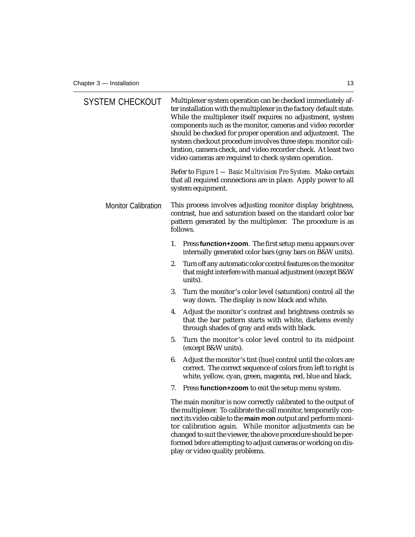| <b>SYSTEM CHECKOUT</b>     | Multiplexer system operation can be checked immediately af-<br>ter installation with the multiplexer in the factory default state.<br>While the multiplexer itself requires no adjustment, system<br>components such as the monitor, cameras and video recorder<br>should be checked for proper operation and adjustment. The<br>system checkout procedure involves three steps: monitor cali-<br>bration, camera check, and video recorder check. At least two<br>video cameras are required to check system operation. |
|----------------------------|--------------------------------------------------------------------------------------------------------------------------------------------------------------------------------------------------------------------------------------------------------------------------------------------------------------------------------------------------------------------------------------------------------------------------------------------------------------------------------------------------------------------------|
|                            | Refer to Figure 1 - Basic Multivision Pro System. Make certain<br>that all required connections are in place. Apply power to all<br>system equipment.                                                                                                                                                                                                                                                                                                                                                                    |
| <b>Monitor Calibration</b> | This process involves adjusting monitor display brightness,<br>contrast, hue and saturation based on the standard color bar<br>pattern generated by the multiplexer. The procedure is as<br>follows.                                                                                                                                                                                                                                                                                                                     |
|                            | Press function+zoom. The first setup menu appears over<br>1.<br>internally generated color bars (gray bars on B&W units).                                                                                                                                                                                                                                                                                                                                                                                                |
|                            | 2.<br>Turn off any automatic color control features on the monitor<br>that might interfere with manual adjustment (except B&W<br>units).                                                                                                                                                                                                                                                                                                                                                                                 |
|                            | 3.<br>Turn the monitor's color level (saturation) control all the<br>way down. The display is now black and white.                                                                                                                                                                                                                                                                                                                                                                                                       |
|                            | Adjust the monitor's contrast and brightness controls so<br>4.<br>that the bar pattern starts with white, darkens evenly<br>through shades of gray and ends with black.                                                                                                                                                                                                                                                                                                                                                  |
|                            | 5.<br>Turn the monitor's color level control to its midpoint<br>(except B&W units).                                                                                                                                                                                                                                                                                                                                                                                                                                      |
|                            | 6.<br>Adjust the monitor's tint (hue) control until the colors are<br>correct. The correct sequence of colors from left to right is<br>white, yellow, cyan, green, magenta, red, blue and black.                                                                                                                                                                                                                                                                                                                         |
|                            | Press function+zoom to exit the setup menu system.<br>7.                                                                                                                                                                                                                                                                                                                                                                                                                                                                 |
|                            | The main monitor is now correctly calibrated to the output of<br>the multiplexer. To calibrate the call monitor, temporarily con-<br>nect its video cable to the main mon output and perform moni-<br>tor calibration again. While monitor adjustments can be<br>changed to suit the viewer, the above procedure should be per-<br>formed before attempting to adjust cameras or working on dis-<br>play or video quality problems.                                                                                      |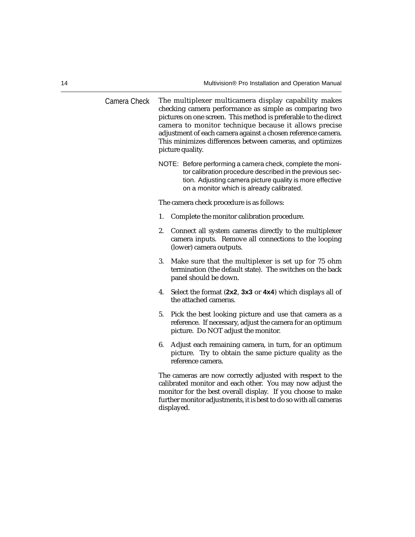Camera Check The multiplexer multicamera display capability makes checking camera performance as simple as comparing two pictures on one screen. This method is preferable to the direct camera to monitor technique because it allows precise adjustment of each camera against a chosen reference camera. This minimizes differences between cameras, and optimizes picture quality. NOTE: Before performing a camera check, complete the monitor calibration procedure described in the previous section. Adjusting camera picture quality is more effective on a monitor which is already calibrated. The camera check procedure is as follows: 1. Complete the monitor calibration procedure. 2. Connect all system cameras directly to the multiplexer camera inputs. Remove all connections to the looping (lower) camera outputs. 3. Make sure that the multiplexer is set up for 75 ohm termination (the default state). The switches on the back panel should be down. 4. Select the format (**2x2**, **3x3** or **4x4**) which displays all of the attached cameras. 5. Pick the best looking picture and use that camera as a reference. If necessary, adjust the camera for an optimum picture. Do NOT adjust the monitor. 6. Adjust each remaining camera, in turn, for an optimum picture. Try to obtain the same picture quality as the reference camera. The cameras are now correctly adjusted with respect to the calibrated monitor and each other. You may now adjust the monitor for the best overall display. If you choose to make further monitor adjustments, it is best to do so with all cameras

displayed.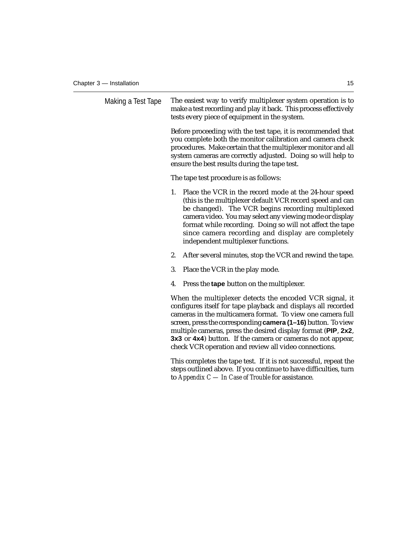| Making a Test Tape | The easiest way to verify multiplexer system operation is to<br>make a test recording and play it back. This process effectively<br>tests every piece of equipment in the system. |                                                                                                                                                                                                                                                                                                                                                                                                                                                  |
|--------------------|-----------------------------------------------------------------------------------------------------------------------------------------------------------------------------------|--------------------------------------------------------------------------------------------------------------------------------------------------------------------------------------------------------------------------------------------------------------------------------------------------------------------------------------------------------------------------------------------------------------------------------------------------|
|                    |                                                                                                                                                                                   | Before proceeding with the test tape, it is recommended that<br>you complete both the monitor calibration and camera check<br>procedures. Make certain that the multiplexer monitor and all<br>system cameras are correctly adjusted. Doing so will help to<br>ensure the best results during the tape test.                                                                                                                                     |
|                    |                                                                                                                                                                                   | The tape test procedure is as follows:                                                                                                                                                                                                                                                                                                                                                                                                           |
|                    |                                                                                                                                                                                   | 1.<br>Place the VCR in the record mode at the 24-hour speed<br>(this is the multiplexer default VCR record speed and can<br>be changed). The VCR begins recording multiplexed<br>camera video. You may select any viewing mode or display<br>format while recording. Doing so will not affect the tape<br>since camera recording and display are completely<br>independent multiplexer functions.                                                |
|                    |                                                                                                                                                                                   | 2.<br>After several minutes, stop the VCR and rewind the tape.                                                                                                                                                                                                                                                                                                                                                                                   |
|                    |                                                                                                                                                                                   | 3.<br>Place the VCR in the play mode.                                                                                                                                                                                                                                                                                                                                                                                                            |
|                    |                                                                                                                                                                                   | 4.<br>Press the <b>tape</b> button on the multiplexer.                                                                                                                                                                                                                                                                                                                                                                                           |
|                    |                                                                                                                                                                                   | When the multiplexer detects the encoded VCR signal, it<br>configures itself for tape playback and displays all recorded<br>cameras in the multicamera format. To view one camera full<br>screen, press the corresponding camera (1-16) button. To view<br>multiple cameras, press the desired display format (PIP, 2x2,<br>3x3 or 4x4) button. If the camera or cameras do not appear,<br>check VCR operation and review all video connections. |
|                    |                                                                                                                                                                                   | This completes the tape test. If it is not successful, repeat the<br>steps outlined above. If you continue to have difficulties, turn<br>to Appendix $C$ — In Case of Trouble for assistance.                                                                                                                                                                                                                                                    |
|                    |                                                                                                                                                                                   |                                                                                                                                                                                                                                                                                                                                                                                                                                                  |
|                    |                                                                                                                                                                                   |                                                                                                                                                                                                                                                                                                                                                                                                                                                  |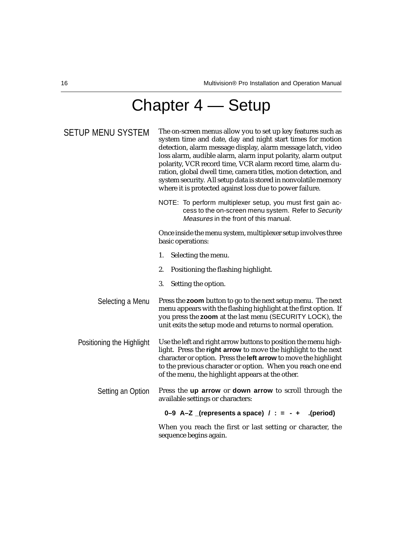# Chapter 4 — Setup

| SETUP MENU SYSTEM         | The on-screen menus allow you to set up key features such as<br>system time and date, day and night start times for motion<br>detection, alarm message display, alarm message latch, video<br>loss alarm, audible alarm, alarm input polarity, alarm output<br>polarity, VCR record time, VCR alarm record time, alarm du-<br>ration, global dwell time, camera titles, motion detection, and<br>system security. All setup data is stored in nonvolatile memory<br>where it is protected against loss due to power failure. |
|---------------------------|------------------------------------------------------------------------------------------------------------------------------------------------------------------------------------------------------------------------------------------------------------------------------------------------------------------------------------------------------------------------------------------------------------------------------------------------------------------------------------------------------------------------------|
|                           | NOTE: To perform multiplexer setup, you must first gain ac-<br>cess to the on-screen menu system. Refer to Security<br>Measures in the front of this manual.                                                                                                                                                                                                                                                                                                                                                                 |
|                           | Once inside the menu system, multiplexer setup involves three<br>basic operations:                                                                                                                                                                                                                                                                                                                                                                                                                                           |
|                           | 1.<br>Selecting the menu.                                                                                                                                                                                                                                                                                                                                                                                                                                                                                                    |
|                           | 2.<br>Positioning the flashing highlight.                                                                                                                                                                                                                                                                                                                                                                                                                                                                                    |
|                           | 3.<br>Setting the option.                                                                                                                                                                                                                                                                                                                                                                                                                                                                                                    |
| Selecting a Menu          | Press the zoom button to go to the next setup menu. The next<br>menu appears with the flashing highlight at the first option. If<br>you press the zoom at the last menu (SECURITY LOCK), the<br>unit exits the setup mode and returns to normal operation.                                                                                                                                                                                                                                                                   |
| Positioning the Highlight | Use the left and right arrow buttons to position the menu high-<br>light. Press the right arrow to move the highlight to the next<br>character or option. Press the left arrow to move the highlight<br>to the previous character or option. When you reach one end<br>of the menu, the highlight appears at the other.                                                                                                                                                                                                      |
| Setting an Option         | Press the up arrow or down arrow to scroll through the<br>available settings or characters:                                                                                                                                                                                                                                                                                                                                                                                                                                  |
|                           | 0-9 A-Z (represents a space) $/ : = - +$<br>.(period).                                                                                                                                                                                                                                                                                                                                                                                                                                                                       |
|                           | When you reach the first or last setting or character, the<br>sequence begins again.                                                                                                                                                                                                                                                                                                                                                                                                                                         |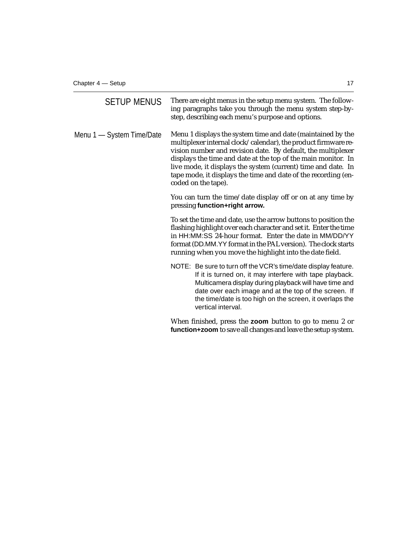| <b>SETUP MENUS</b>        | There are eight menus in the setup menu system. The follow-<br>ing paragraphs take you through the menu system step-by-<br>step, describing each menu's purpose and options.                                                                                                                                                                                                                                             |
|---------------------------|--------------------------------------------------------------------------------------------------------------------------------------------------------------------------------------------------------------------------------------------------------------------------------------------------------------------------------------------------------------------------------------------------------------------------|
| Menu 1 - System Time/Date | Menu 1 displays the system time and date (maintained by the<br>multiplexer internal clock/calendar), the product firmware re-<br>vision number and revision date. By default, the multiplexer<br>displays the time and date at the top of the main monitor. In<br>live mode, it displays the system (current) time and date. In<br>tape mode, it displays the time and date of the recording (en-<br>coded on the tape). |
|                           | You can turn the time/date display off or on at any time by<br>pressing function+right arrow.                                                                                                                                                                                                                                                                                                                            |
|                           | To set the time and date, use the arrow buttons to position the<br>flashing highlight over each character and set it. Enter the time<br>in HH:MM:SS 24-hour format. Enter the date in MM/DD/YY<br>format (DD.MM.YY format in the PAL version). The clock starts<br>running when you move the highlight into the date field.                                                                                              |
|                           | NOTE: Be sure to turn off the VCR's time/date display feature.<br>If it is turned on, it may interfere with tape playback.<br>Multicamera display during playback will have time and<br>date over each image and at the top of the screen. If<br>the time/date is too high on the screen, it overlaps the<br>vertical interval.                                                                                          |
|                           | When finished, press the zoom button to go to menu 2 or<br>function+zoom to save all changes and leave the setup system.                                                                                                                                                                                                                                                                                                 |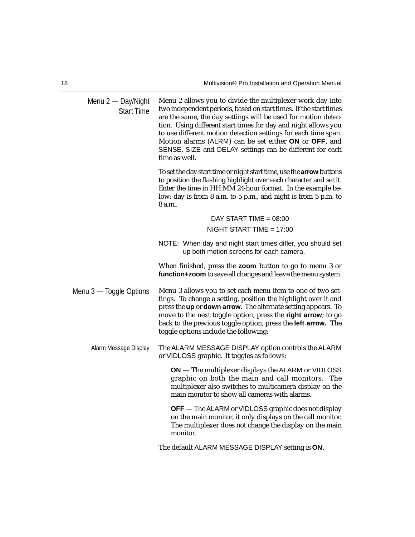Menu 2 — Day/Night Start Time Menu 2 allows you to divide the multiplexer work day into two independent periods, based on start times. If the start times are the same, the day settings will be used for motion detection. Using different start times for day and night allows you to use different motion detection settings for each time span. Motion alarms (ALRM) can be set either **ON** or **OFF**, and SENSE, SIZE and DELAY settings can be different for each time as well. To set the day start time or night start time, use the **arrow** buttons to position the flashing highlight over each character and set it. Enter the time in HH:MM 24-hour format. In the example below: day is from 8 a.m. to 5 p.m., and night is from 5 p.m. to 8 a.m.. DAY START TIME  $= 08:00$  $NIGHT START TIME = 17:00$ NOTE: When day and night start times differ, you should set up both motion screens for each camera. When finished, press the **zoom** button to go to menu 3 or **function+zoom** to save all changes and leave the menu system. Menu 3 — Toggle Options Menu 3 allows you to set each menu item to one of two settings. To change a setting, position the highlight over it and press the **up** or **down arrow.** The alternate setting appears. To move to the next toggle option, press the **right arrow**; to go back to the previous toggle option, press the **left arrow.** The toggle options include the following: Alarm Message Display The ALARM MESSAGE DISPLAY option controls the ALARM or VIDLOSS graphic. It toggles as follows: **ON** — The multiplexer displays the ALARM or VIDLOSS graphic on both the main and call monitors. The multiplexer also switches to multicamera display on the main monitor to show all cameras with alarms. **OFF** — The ALARM or VIDLOSS graphic does not display on the main monitor, it only displays on the call monitor. The multiplexer does not change the display on the main monitor.

The default ALARM MESSAGE DISPLAY setting is **ON**.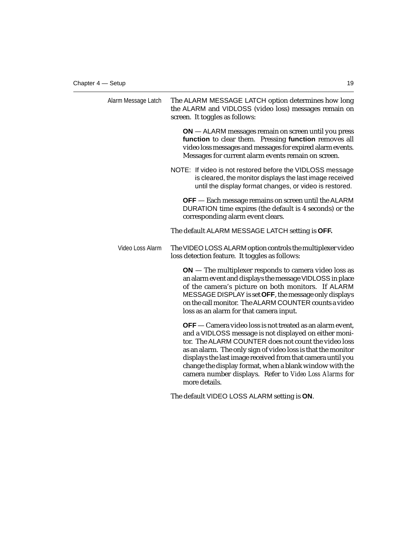| Alarm Message Latch | The ALARM MESSAGE LATCH option determines how long<br>the ALARM and VIDLOSS (video loss) messages remain on<br>screen. It toggles as follows:                                                                                                                                                                                                                                                                                                           |
|---------------------|---------------------------------------------------------------------------------------------------------------------------------------------------------------------------------------------------------------------------------------------------------------------------------------------------------------------------------------------------------------------------------------------------------------------------------------------------------|
|                     | ON - ALARM messages remain on screen until you press<br>function to clear them. Pressing function removes all<br>video loss messages and messages for expired alarm events.<br>Messages for current alarm events remain on screen.                                                                                                                                                                                                                      |
|                     | NOTE: If video is not restored before the VIDLOSS message<br>is cleared, the monitor displays the last image received<br>until the display format changes, or video is restored.                                                                                                                                                                                                                                                                        |
|                     | <b>OFF</b> — Each message remains on screen until the ALARM<br>DURATION time expires (the default is 4 seconds) or the<br>corresponding alarm event clears.                                                                                                                                                                                                                                                                                             |
|                     | The default ALARM MESSAGE LATCH setting is OFF.                                                                                                                                                                                                                                                                                                                                                                                                         |
| Video Loss Alarm    | The VIDEO LOSS ALARM option controls the multiplexer video<br>loss detection feature. It toggles as follows:                                                                                                                                                                                                                                                                                                                                            |
|                     | $ON$ – The multiplexer responds to camera video loss as<br>an alarm event and displays the message VIDLOSS in place<br>of the camera's picture on both monitors. If ALARM<br>MESSAGE DISPLAY is set OFF, the message only displays<br>on the call monitor. The ALARM COUNTER counts a video<br>loss as an alarm for that camera input.                                                                                                                  |
|                     | <b>OFF</b> — Camera video loss is not treated as an alarm event,<br>and a VIDLOSS message is not displayed on either moni-<br>tor. The ALARM COUNTER does not count the video loss<br>as an alarm. The only sign of video loss is that the monitor<br>displays the last image received from that camera until you<br>change the display format, when a blank window with the<br>camera number displays. Refer to Video Loss Alarms for<br>more details. |
|                     | The default VIDEO LOSS ALARM setting is ON.                                                                                                                                                                                                                                                                                                                                                                                                             |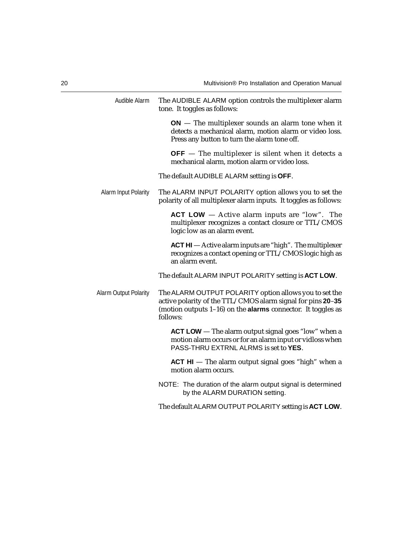| Audible Alarm                | The AUDIBLE ALARM option controls the multiplexer alarm<br>tone. It toggles as follows:                                                                                                                     |
|------------------------------|-------------------------------------------------------------------------------------------------------------------------------------------------------------------------------------------------------------|
|                              | $ON$ – The multiplexer sounds an alarm tone when it<br>detects a mechanical alarm, motion alarm or video loss.<br>Press any button to turn the alarm tone off.                                              |
|                              | $OFF$ – The multiplexer is silent when it detects a<br>mechanical alarm, motion alarm or video loss.                                                                                                        |
|                              | The default AUDIBLE ALARM setting is OFF.                                                                                                                                                                   |
| Alarm Input Polarity         | The ALARM INPUT POLARITY option allows you to set the<br>polarity of all multiplexer alarm inputs. It toggles as follows:                                                                                   |
|                              | ACT LOW $-$ Active alarm inputs are "low". The<br>multiplexer recognizes a contact closure or TTL/CMOS<br>logic low as an alarm event.                                                                      |
|                              | ACT HI - Active alarm inputs are "high". The multiplexer<br>recognizes a contact opening or TTL/CMOS logic high as<br>an alarm event.                                                                       |
|                              | The default ALARM INPUT POLARITY setting is ACT LOW.                                                                                                                                                        |
| <b>Alarm Output Polarity</b> | The ALARM OUTPUT POLARITY option allows you to set the<br>active polarity of the TTL/CMOS alarm signal for pins 20-35<br>(motion outputs $1-16$ ) on the <b>alarms</b> connector. It toggles as<br>follows: |
|                              | <b>ACT LOW</b> — The alarm output signal goes "low" when a<br>motion alarm occurs or for an alarm input or vidloss when<br>PASS-THRU EXTRNL ALRMS is set to YES.                                            |
|                              | $ACT HI$ – The alarm output signal goes "high" when a<br>motion alarm occurs.                                                                                                                               |
|                              | NOTE: The duration of the alarm output signal is determined<br>by the ALARM DURATION setting.                                                                                                               |
|                              | The default ALARM OUTPUT POLARITY setting is ACT LOW.                                                                                                                                                       |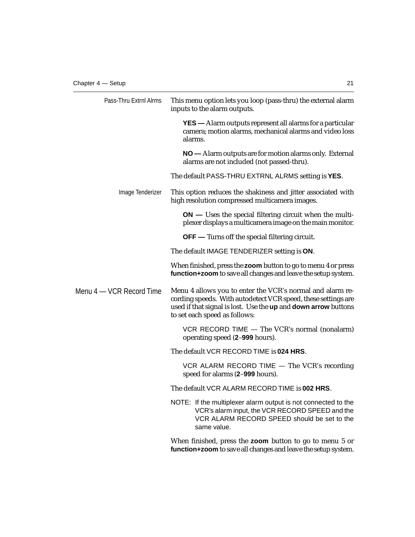| Pass-Thru Extrnl Alrms   | This menu option lets you loop (pass-thru) the external alarm<br>inputs to the alarm outputs.                                                                                                                                 |
|--------------------------|-------------------------------------------------------------------------------------------------------------------------------------------------------------------------------------------------------------------------------|
|                          | <b>YES</b> — Alarm outputs represent all alarms for a particular<br>camera; motion alarms, mechanical alarms and video loss<br>alarms.                                                                                        |
|                          | NO — Alarm outputs are for motion alarms only. External<br>alarms are not included (not passed-thru).                                                                                                                         |
|                          | The default PASS-THRU EXTRNL ALRMS setting is YES.                                                                                                                                                                            |
| Image Tenderizer         | This option reduces the shakiness and jitter associated with<br>high resolution compressed multicamera images.                                                                                                                |
|                          | $ON$ — Uses the special filtering circuit when the multi-<br>plexer displays a multicamera image on the main monitor.                                                                                                         |
|                          | <b>OFF</b> — Turns off the special filtering circuit.                                                                                                                                                                         |
|                          | The default IMAGE TENDERIZER setting is ON.                                                                                                                                                                                   |
|                          | When finished, press the zoom button to go to menu 4 or press<br>function+zoom to save all changes and leave the setup system.                                                                                                |
| Menu 4 — VCR Record Time | Menu 4 allows you to enter the VCR's normal and alarm re-<br>cording speeds. With autodetect VCR speed, these settings are<br>used if that signal is lost. Use the up and down arrow buttons<br>to set each speed as follows: |
|                          | VCR RECORD TIME $-$ The VCR's normal (nonalarm)<br>operating speed (2-999 hours).                                                                                                                                             |
|                          | The default VCR RECORD TIME is 024 HRS.                                                                                                                                                                                       |
|                          | VCR ALARM RECORD TIME $-$ The VCR's recording<br>speed for alarms (2-999 hours).                                                                                                                                              |
|                          | The default VCR ALARM RECORD TIME is 002 HRS.                                                                                                                                                                                 |
|                          | NOTE: If the multiplexer alarm output is not connected to the<br>VCR's alarm input, the VCR RECORD SPEED and the<br>VCR ALARM RECORD SPEED should be set to the<br>same value.                                                |
|                          | When finished, press the zoom button to go to menu 5 or<br>function+zoom to save all changes and leave the setup system.                                                                                                      |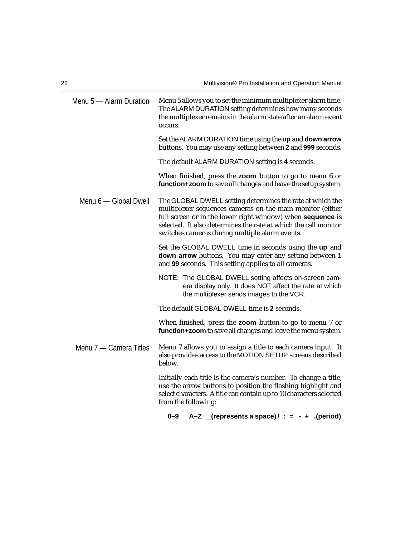| Menu 5 - Alarm Duration | Menu 5 allows you to set the minimum multiplexer alarm time.<br>The ALARM DURATION setting determines how many seconds<br>the multiplexer remains in the alarm state after an alarm event<br>occurs.                                                                                                      |
|-------------------------|-----------------------------------------------------------------------------------------------------------------------------------------------------------------------------------------------------------------------------------------------------------------------------------------------------------|
|                         | Set the ALARM DURATION time using the up and down arrow<br>buttons. You may use any setting between 2 and 999 seconds.                                                                                                                                                                                    |
|                         | The default ALARM DURATION setting is 4 seconds.                                                                                                                                                                                                                                                          |
|                         | When finished, press the zoom button to go to menu 6 or<br>function+zoom to save all changes and leave the setup system.                                                                                                                                                                                  |
| Menu 6 - Global Dwell   | The GLOBAL DWELL setting determines the rate at which the<br>multiplexer sequences cameras on the main monitor (either<br>full screen or in the lower right window) when sequence is<br>selected. It also determines the rate at which the call monitor<br>switches cameras during multiple alarm events. |
|                         | Set the GLOBAL DWELL time in seconds using the up and<br>down arrow buttons. You may enter any setting between 1<br>and 99 seconds. This setting applies to all cameras.                                                                                                                                  |
|                         | NOTE: The GLOBAL DWELL setting affects on-screen cam-<br>era display only. It does NOT affect the rate at which<br>the multiplexer sends images to the VCR.                                                                                                                                               |
|                         | The default GLOBAL DWELL time is 2 seconds.                                                                                                                                                                                                                                                               |
|                         | When finished, press the zoom button to go to menu 7 or<br>function+zoom to save all changes and leave the menu system.                                                                                                                                                                                   |
| Menu 7 – Camera Titles  | Menu 7 allows you to assign a title to each camera input. It<br>also provides access to the MOTION SETUP screens described<br>below.                                                                                                                                                                      |
|                         | Initially each title is the camera's number. To change a title,<br>use the arrow buttons to position the flashing highlight and<br>select characters. A title can contain up to 10 characters selected<br>from the following:                                                                             |

**0–9 A–Z \_(represents a space) / : = - + .(period)**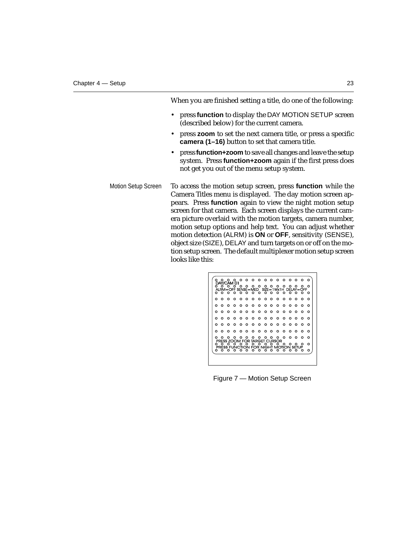When you are finished setting a title, do one of the following:

- press **function** to display the DAY MOTION SETUP screen (described below) for the current camera.
- press **zoom** to set the next camera title, or press a specific **camera (1–16)** button to set that camera title.
- press **function+zoom** to save all changes and leave the setup system. Press **function+zoom** again if the first press does not get you out of the menu setup system.
- To access the motion setup screen, press **function** while the Camera Titles menu is displayed. The day motion screen appears. Press **function** again to view the night motion setup screen for that camera. Each screen displays the current camera picture overlaid with the motion targets, camera number, motion setup options and help text. You can adjust whether motion detection (ALRM) is **ON** or **OFF**, sensitivity (SENSE), object size (SIZE), DELAY and turn targets on or off on the motion setup screen. The default multiplexer motion setup screen looks like this: Motion Setup Screen



Figure 7 — Motion Setup Screen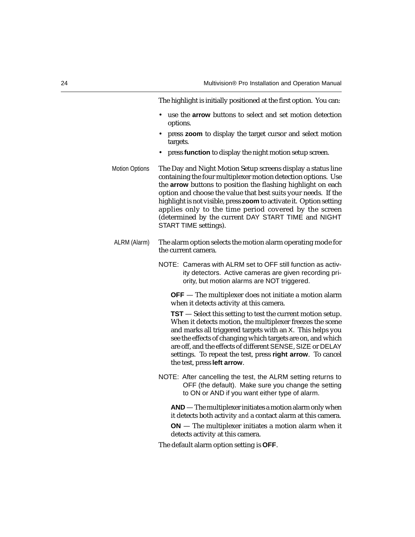The highlight is initially positioned at the first option. You can:

- use the **arrow** buttons to select and set motion detection options.
- press **zoom** to display the target cursor and select motion targets.
- press **function** to display the night motion setup screen.
- Motion Options The Day and Night Motion Setup screens display a status line containing the four multiplexer motion detection options. Use the **arrow** buttons to position the flashing highlight on each option and choose the value that best suits your needs. If the highlight is not visible, press **zoom** to activate it. Option setting applies only to the time period covered by the screen (determined by the current DAY START TIME and NIGHT START TIME settings).
- ALRM (Alarm) The alarm option selects the motion alarm operating mode for the current camera.
	- NOTE: Cameras with ALRM set to OFF still function as activity detectors. Active cameras are given recording priority, but motion alarms are NOT triggered.

**OFF** — The multiplexer does not initiate a motion alarm when it detects activity at this camera.

**TST** — Select this setting to test the current motion setup. When it detects motion, the multiplexer freezes the scene and marks all triggered targets with an X. This helps you see the effects of changing which targets are on, and which are off, and the effects of different SENSE, SIZE or DELAY settings. To repeat the test, press **right arrow**. To cancel the test, press **left arrow**.

NOTE: After cancelling the test, the ALRM setting returns to OFF (the default). Make sure you change the setting to ON or AND if you want either type of alarm.

**AND** — The multiplexer initiates a motion alarm only when it detects both activity *and* a contact alarm at this camera.

**ON** — The multiplexer initiates a motion alarm when it detects activity at this camera.

The default alarm option setting is **OFF**.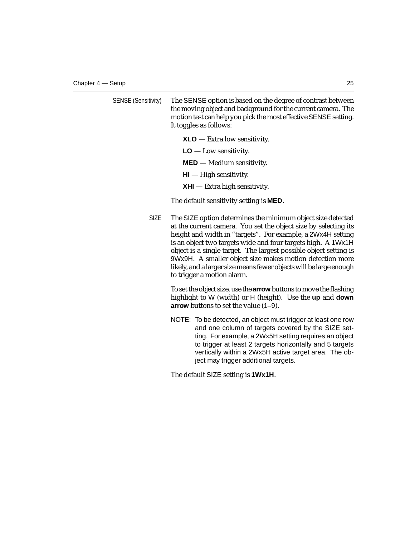| <b>SENSE (Sensitivity)</b> | The SENSE option is based on the degree of contrast between     |
|----------------------------|-----------------------------------------------------------------|
|                            | the moving object and background for the current camera. The    |
|                            | motion test can help you pick the most effective SENSE setting. |
|                            | It toggles as follows:                                          |

**XLO** — Extra low sensitivity.

**LO** — Low sensitivity.

**MED** — Medium sensitivity.

- **HI**  High sensitivity.
- **XHI**  Extra high sensitivity.

The default sensitivity setting is **MED**.

SIZE The SIZE option determines the minimum object size detected at the current camera. You set the object size by selecting its height and width in "targets". For example, a 2Wx4H setting is an object two targets wide and four targets high. A 1Wx1H object is a single target. The largest possible object setting is 9Wx9H. A smaller object size makes motion detection more likely, and a larger size means fewer objects will be large enough to trigger a motion alarm.

> To set the object size, use the **arrow** buttons to move the flashing highlight to W (width) or H (height). Use the **up** and **down arrow** buttons to set the value (1–9).

> NOTE: To be detected, an object must trigger at least one row and one column of targets covered by the SIZE setting. For example, a 2Wx5H setting requires an object to trigger at least 2 targets horizontally and 5 targets vertically within a 2Wx5H active target area. The object may trigger additional targets.

The default SIZE setting is **1Wx1H**.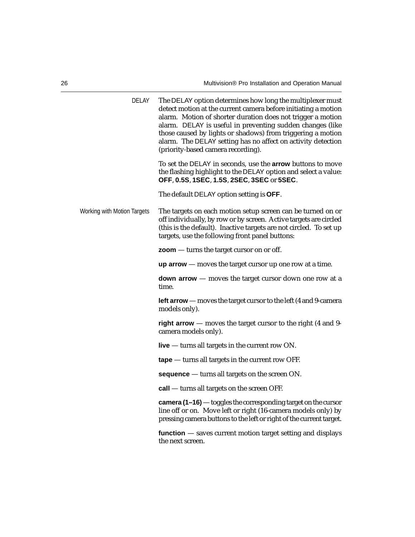| <b>DELAY</b>                | The DELAY option determines how long the multiplexer must<br>detect motion at the current camera before initiating a motion<br>alarm. Motion of shorter duration does not trigger a motion<br>alarm. DELAY is useful in preventing sudden changes (like<br>those caused by lights or shadows) from triggering a motion<br>alarm. The DELAY setting has no affect on activity detection<br>(priority-based camera recording). |
|-----------------------------|------------------------------------------------------------------------------------------------------------------------------------------------------------------------------------------------------------------------------------------------------------------------------------------------------------------------------------------------------------------------------------------------------------------------------|
|                             | To set the DELAY in seconds, use the arrow buttons to move<br>the flashing highlight to the DELAY option and select a value:<br>OFF, 0.5S, 1SEC, 1.5S, 2SEC, 3SEC or 5SEC.                                                                                                                                                                                                                                                   |
|                             | The default DELAY option setting is OFF.                                                                                                                                                                                                                                                                                                                                                                                     |
| Working with Motion Targets | The targets on each motion setup screen can be turned on or<br>off individually, by row or by screen. Active targets are circled<br>(this is the default). Inactive targets are not circled. To set up<br>targets, use the following front panel buttons:                                                                                                                                                                    |
|                             | $\mathsf{zoom}$ — turns the target cursor on or off.                                                                                                                                                                                                                                                                                                                                                                         |
|                             | $uparrow$ $-moves$ the target cursor up one row at a time.                                                                                                                                                                                                                                                                                                                                                                   |
|                             | <b>down arrow</b> $-$ moves the target cursor down one row at a<br>time.                                                                                                                                                                                                                                                                                                                                                     |
|                             | <b>left arrow</b> — moves the target cursor to the left (4 and 9-camera<br>models only).                                                                                                                                                                                                                                                                                                                                     |
|                             | right arrow - moves the target cursor to the right (4 and 9-<br>camera models only).                                                                                                                                                                                                                                                                                                                                         |
|                             | live $-$ turns all targets in the current row ON.                                                                                                                                                                                                                                                                                                                                                                            |
|                             | $\mathsf{tape}$ - turns all targets in the current row OFF.                                                                                                                                                                                                                                                                                                                                                                  |
|                             | sequence - turns all targets on the screen ON.                                                                                                                                                                                                                                                                                                                                                                               |
|                             | call - turns all targets on the screen OFF.                                                                                                                                                                                                                                                                                                                                                                                  |
|                             | camera (1-16) — toggles the corresponding target on the cursor<br>line off or on. Move left or right (16-camera models only) by<br>pressing camera buttons to the left or right of the current target.                                                                                                                                                                                                                       |
|                             | $function$ – saves current motion target setting and displays<br>the next screen.                                                                                                                                                                                                                                                                                                                                            |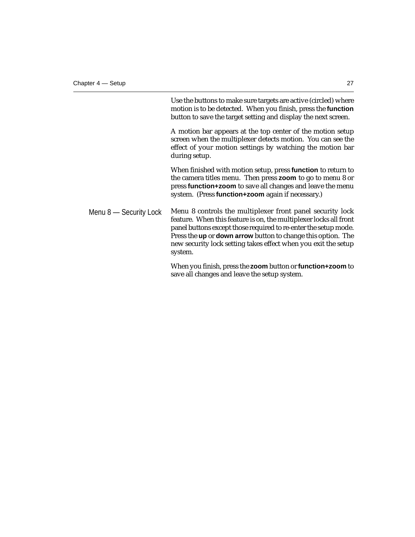Use the buttons to make sure targets are active (circled) where motion is to be detected. When you finish, press the **function** button to save the target setting and display the next screen.

A motion bar appears at the top center of the motion setup screen when the multiplexer detects motion. You can see the effect of your motion settings by watching the motion bar during setup.

When finished with motion setup, press **function** to return to the camera titles menu. Then press **zoom** to go to menu 8 or press **function+zoom** to save all changes and leave the menu system. (Press **function+zoom** again if necessary.)

Menu 8 — Security Lock Menu 8 controls the multiplexer front panel security lock feature. When this feature is on, the multiplexer locks all front panel buttons except those required to re-enter the setup mode. Press the **up** or **down arrow** button to change this option. The new security lock setting takes effect when you exit the setup system.

> When you finish, press the **zoom** button or **function+zoom** to save all changes and leave the setup system.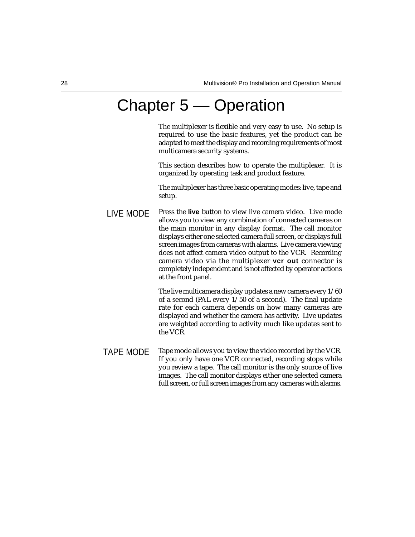### Chapter 5 — Operation

The multiplexer is flexible and very easy to use. No setup is required to use the basic features, yet the product can be adapted to meet the display and recording requirements of most multicamera security systems.

This section describes how to operate the multiplexer. It is organized by operating task and product feature.

The multiplexer has three basic operating modes: live, tape and setup.

LIVE MODE Press the **live** button to view live camera video. Live mode allows you to view any combination of connected cameras on the main monitor in any display format. The call monitor displays either one selected camera full screen, or displays full screen images from cameras with alarms. Live camera viewing does not affect camera video output to the VCR. Recording camera video via the multiplexer **vcr out** connector is completely independent and is not affected by operator actions at the front panel.

> The live multicamera display updates a new camera every 1/60 of a second (PAL every 1/50 of a second). The final update rate for each camera depends on how many cameras are displayed and whether the camera has activity. Live updates are weighted according to activity much like updates sent to the VCR.

Tape mode allows you to view the video recorded by the VCR. If you only have one VCR connected, recording stops while you review a tape. The call monitor is the only source of live images. The call monitor displays either one selected camera full screen, or full screen images from any cameras with alarms. TAPE MODE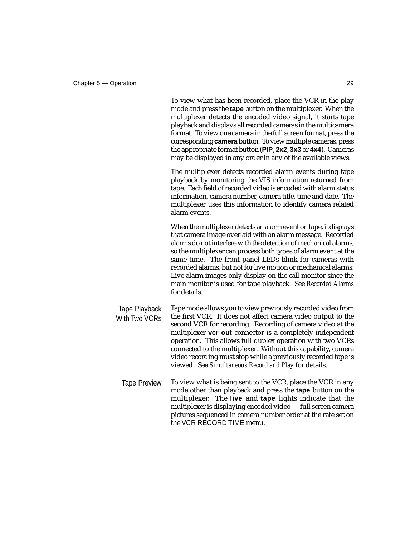|                                | To view what has been recorded, place the VCR in the play<br>mode and press the tape button on the multiplexer. When the<br>multiplexer detects the encoded video signal, it starts tape<br>playback and displays all recorded cameras in the multicamera<br>format. To view one camera in the full screen format, press the<br>corresponding camera button. To view multiple cameras, press<br>the appropriate format button (PIP, 2x2, 3x3 or 4x4). Cameras<br>may be displayed in any order in any of the available views.                    |
|--------------------------------|--------------------------------------------------------------------------------------------------------------------------------------------------------------------------------------------------------------------------------------------------------------------------------------------------------------------------------------------------------------------------------------------------------------------------------------------------------------------------------------------------------------------------------------------------|
|                                | The multiplexer detects recorded alarm events during tape<br>playback by monitoring the VIS information returned from<br>tape. Each field of recorded video is encoded with alarm status<br>information, camera number, camera title, time and date. The<br>multiplexer uses this information to identify camera related<br>alarm events.                                                                                                                                                                                                        |
|                                | When the multiplexer detects an alarm event on tape, it displays<br>that camera image overlaid with an alarm message. Recorded<br>alarms do not interfere with the detection of mechanical alarms,<br>so the multiplexer can process both types of alarm event at the<br>same time. The front panel LEDs blink for cameras with<br>recorded alarms, but not for live motion or mechanical alarms.<br>Live alarm images only display on the call monitor since the<br>main monitor is used for tape playback. See Recorded Alarms<br>for details. |
| Tape Playback<br>With Two VCRs | Tape mode allows you to view previously recorded video from<br>the first VCR. It does not affect camera video output to the<br>second VCR for recording. Recording of camera video at the<br>multiplexer vcr out connector is a completely independent<br>operation. This allows full duplex operation with two VCRs<br>connected to the multiplexer. Without this capability, camera<br>video recording must stop while a previously recorded tape is<br>viewed. See Simultaneous Record and Play for details.                                  |
| <b>Tape Preview</b>            | To view what is being sent to the VCR, place the VCR in any<br>mode other than playback and press the tape button on the<br>multiplexer. The live and tape lights indicate that the<br>multiplexer is displaying encoded video - full screen camera<br>pictures sequenced in camera number order at the rate set on                                                                                                                                                                                                                              |

the VCR RECORD TIME menu.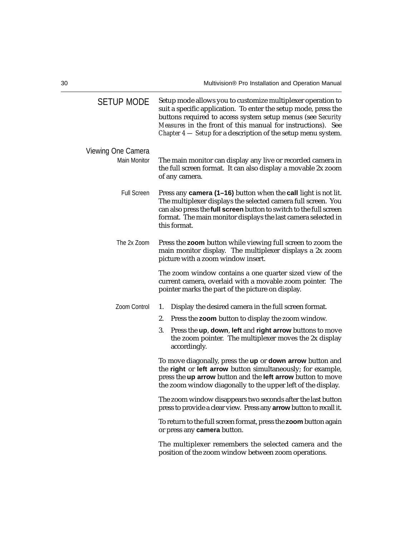| <b>SETUP MODE</b>   | Setup mode allows you to customize multiplexer operation to<br>suit a specific application. To enter the setup mode, press the<br>buttons required to access system setup menus (see Security<br>Measures in the front of this manual for instructions). See<br>Chapter 4 – Setup for a description of the setup menu system. |
|---------------------|-------------------------------------------------------------------------------------------------------------------------------------------------------------------------------------------------------------------------------------------------------------------------------------------------------------------------------|
| Viewing One Camera  |                                                                                                                                                                                                                                                                                                                               |
| <b>Main Monitor</b> | The main monitor can display any live or recorded camera in<br>the full screen format. It can also display a movable 2x zoom<br>of any camera.                                                                                                                                                                                |
| <b>Full Screen</b>  | Press any camera (1–16) button when the call light is not lit.<br>The multiplexer displays the selected camera full screen. You<br>can also press the full screen button to switch to the full screen<br>format. The main monitor displays the last camera selected in<br>this format.                                        |
| The 2x Zoom         | Press the zoom button while viewing full screen to zoom the<br>main monitor display. The multiplexer displays a 2x zoom<br>picture with a zoom window insert.                                                                                                                                                                 |
|                     | The zoom window contains a one quarter sized view of the<br>current camera, overlaid with a movable zoom pointer. The<br>pointer marks the part of the picture on display.                                                                                                                                                    |
| Zoom Control        | 1.<br>Display the desired camera in the full screen format.                                                                                                                                                                                                                                                                   |
|                     | 2.<br>Press the zoom button to display the zoom window.                                                                                                                                                                                                                                                                       |
|                     | 3.<br>Press the up, down, left and right arrow buttons to move<br>the zoom pointer. The multiplexer moves the 2x display<br>accordingly.                                                                                                                                                                                      |
|                     | To move diagonally, press the up or down arrow button and<br>the right or left arrow button simultaneously; for example,<br>press the up arrow button and the left arrow button to move<br>the zoom window diagonally to the upper left of the display.                                                                       |
|                     | The zoom window disappears two seconds after the last button<br>press to provide a clear view. Press any <b>arrow</b> button to recall it.                                                                                                                                                                                    |
|                     | To return to the full screen format, press the zoom button again<br>or press any camera button.                                                                                                                                                                                                                               |
|                     | The multiplexer remembers the selected camera and the<br>position of the zoom window between zoom operations.                                                                                                                                                                                                                 |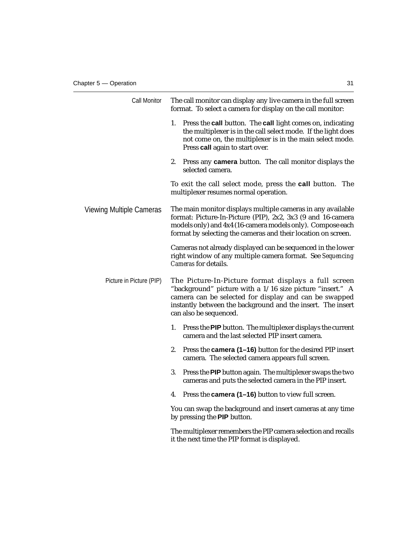| Call Monitor             | The call monitor can display any live camera in the full screen<br>format. To select a camera for display on the call monitor:                                                                                                                                      |
|--------------------------|---------------------------------------------------------------------------------------------------------------------------------------------------------------------------------------------------------------------------------------------------------------------|
|                          | 1.<br>Press the <b>call</b> button. The <b>call</b> light comes on, indicating<br>the multiplexer is in the call select mode. If the light does<br>not come on, the multiplexer is in the main select mode.<br>Press call again to start over.                      |
|                          | 2.<br>Press any <b>camera</b> button. The call monitor displays the<br>selected camera.                                                                                                                                                                             |
|                          | To exit the call select mode, press the call button. The<br>multiplexer resumes normal operation.                                                                                                                                                                   |
| Viewing Multiple Cameras | The main monitor displays multiple cameras in any available<br>format: Picture-In-Picture (PIP), 2x2, 3x3 (9 and 16-camera<br>models only) and 4x4 (16-camera models only). Compose each<br>format by selecting the cameras and their location on screen.           |
|                          | Cameras not already displayed can be sequenced in the lower<br>right window of any multiple camera format. See Sequencing<br>Cameras for details.                                                                                                                   |
| Picture in Picture (PIP) | The Picture-In-Picture format displays a full screen<br>"background" picture with a 1/16 size picture "insert." A<br>camera can be selected for display and can be swapped<br>instantly between the background and the insert. The insert<br>can also be sequenced. |
|                          | 1.<br>Press the PIP button. The multiplexer displays the current<br>camera and the last selected PIP insert camera.                                                                                                                                                 |
|                          | 2.<br>Press the camera (1-16) button for the desired PIP insert<br>camera. The selected camera appears full screen.                                                                                                                                                 |
|                          | 3.<br>Press the PIP button again. The multiplexer swaps the two<br>cameras and puts the selected camera in the PIP insert.                                                                                                                                          |
|                          | 4.<br>Press the <b>camera</b> (1–16) button to view full screen.                                                                                                                                                                                                    |
|                          | You can swap the background and insert cameras at any time<br>by pressing the PIP button.                                                                                                                                                                           |
|                          | The multiplexer remembers the PIP camera selection and recalls<br>it the next time the PIP format is displayed.                                                                                                                                                     |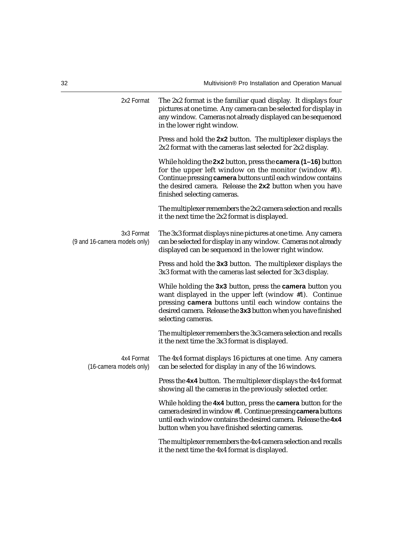| 2x2 Format                                  | The 2x2 format is the familiar quad display. It displays four<br>pictures at one time. Any camera can be selected for display in<br>any window. Cameras not already displayed can be sequenced<br>in the lower right window.                                                       |
|---------------------------------------------|------------------------------------------------------------------------------------------------------------------------------------------------------------------------------------------------------------------------------------------------------------------------------------|
|                                             | Press and hold the 2x2 button. The multiplexer displays the<br>2x2 format with the cameras last selected for 2x2 display.                                                                                                                                                          |
|                                             | While holding the 2x2 button, press the camera (1-16) button<br>for the upper left window on the monitor (window $#1$ ).<br>Continue pressing camera buttons until each window contains<br>the desired camera. Release the 2x2 button when you have<br>finished selecting cameras. |
|                                             | The multiplexer remembers the 2x2 camera selection and recalls<br>it the next time the 2x2 format is displayed.                                                                                                                                                                    |
| 3x3 Format<br>(9 and 16-camera models only) | The 3x3 format displays nine pictures at one time. Any camera<br>can be selected for display in any window. Cameras not already<br>displayed can be sequenced in the lower right window.                                                                                           |
|                                             | Press and hold the 3x3 button. The multiplexer displays the<br>3x3 format with the cameras last selected for 3x3 display.                                                                                                                                                          |
|                                             | While holding the 3x3 button, press the camera button you<br>want displayed in the upper left (window #1). Continue<br>pressing camera buttons until each window contains the<br>desired camera. Release the 3x3 button when you have finished<br>selecting cameras.               |
|                                             | The multiplexer remembers the 3x3 camera selection and recalls<br>it the next time the 3x3 format is displayed.                                                                                                                                                                    |
| 4x4 Format<br>(16-camera models only)       | The 4x4 format displays 16 pictures at one time. Any camera<br>can be selected for display in any of the 16 windows.                                                                                                                                                               |
|                                             | Press the 4x4 button. The multiplexer displays the 4x4 format<br>showing all the cameras in the previously selected order.                                                                                                                                                         |
|                                             | While holding the 4x4 button, press the camera button for the<br>camera desired in window #1. Continue pressing camera buttons<br>until each window contains the desired camera. Release the 4x4<br>button when you have finished selecting cameras.                               |
|                                             | The multiplexer remembers the 4x4 camera selection and recalls<br>it the next time the 4x4 format is displayed.                                                                                                                                                                    |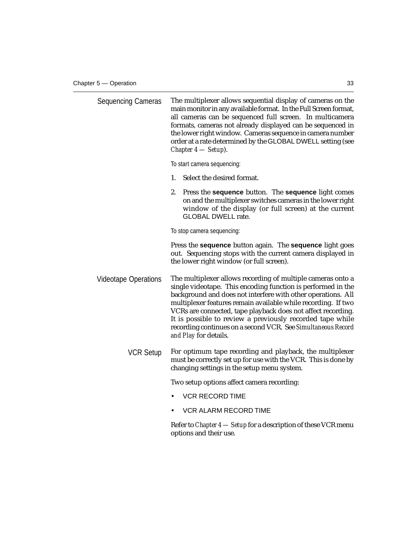| <b>Sequencing Cameras</b>   | The multiplexer allows sequential display of cameras on the<br>main monitor in any available format. In the Full Screen format,<br>all cameras can be sequenced full screen. In multicamera<br>formats, cameras not already displayed can be sequenced in<br>the lower right window. Cameras sequence in camera number<br>order at a rate determined by the GLOBAL DWELL setting (see<br>Chapter $4$ - Setup).                                                                     |
|-----------------------------|------------------------------------------------------------------------------------------------------------------------------------------------------------------------------------------------------------------------------------------------------------------------------------------------------------------------------------------------------------------------------------------------------------------------------------------------------------------------------------|
|                             | To start camera sequencing:                                                                                                                                                                                                                                                                                                                                                                                                                                                        |
|                             | Select the desired format.<br>1.                                                                                                                                                                                                                                                                                                                                                                                                                                                   |
|                             | 2.<br>Press the sequence button. The sequence light comes<br>on and the multiplexer switches cameras in the lower right<br>window of the display (or full screen) at the current<br><b>GLOBAL DWELL rate.</b>                                                                                                                                                                                                                                                                      |
|                             | To stop camera sequencing:                                                                                                                                                                                                                                                                                                                                                                                                                                                         |
|                             | Press the <b>sequence</b> button again. The <b>sequence</b> light goes<br>out. Sequencing stops with the current camera displayed in<br>the lower right window (or full screen).                                                                                                                                                                                                                                                                                                   |
| <b>Videotape Operations</b> | The multiplexer allows recording of multiple cameras onto a<br>single videotape. This encoding function is performed in the<br>background and does not interfere with other operations. All<br>multiplexer features remain available while recording. If two<br>VCRs are connected, tape playback does not affect recording.<br>It is possible to review a previously recorded tape while<br>recording continues on a second VCR. See Simultaneous Record<br>and Play for details. |
| <b>VCR Setup</b>            | For optimum tape recording and playback, the multiplexer<br>must be correctly set up for use with the VCR. This is done by<br>changing settings in the setup menu system.                                                                                                                                                                                                                                                                                                          |
|                             | Two setup options affect camera recording:                                                                                                                                                                                                                                                                                                                                                                                                                                         |
|                             | <b>VCR RECORD TIME</b>                                                                                                                                                                                                                                                                                                                                                                                                                                                             |
|                             | VCR ALARM RECORD TIME                                                                                                                                                                                                                                                                                                                                                                                                                                                              |
|                             | Refer to <i>Chapter 4 — Setup</i> for a description of these VCR menu<br>options and their use.                                                                                                                                                                                                                                                                                                                                                                                    |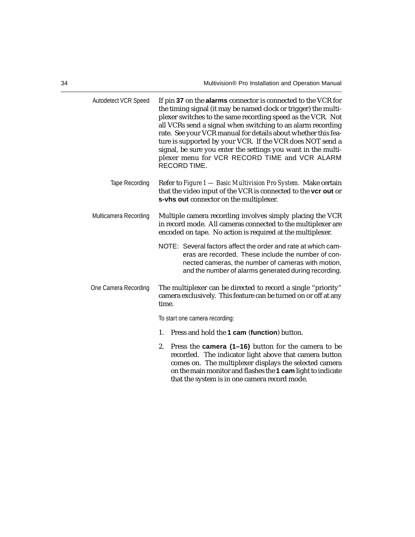| Autodetect VCR Speed  | If pin 37 on the alarms connector is connected to the VCR for<br>the timing signal (it may be named clock or trigger) the multi-<br>plexer switches to the same recording speed as the VCR. Not<br>all VCRs send a signal when switching to an alarm recording<br>rate. See your VCR manual for details about whether this fea-<br>ture is supported by your VCR. If the VCR does NOT send a<br>signal, be sure you enter the settings you want in the multi-<br>plexer menu for VCR RECORD TIME and VCR ALARM<br>RECORD TIME. |  |  |  |  |
|-----------------------|--------------------------------------------------------------------------------------------------------------------------------------------------------------------------------------------------------------------------------------------------------------------------------------------------------------------------------------------------------------------------------------------------------------------------------------------------------------------------------------------------------------------------------|--|--|--|--|
| <b>Tape Recording</b> | Refer to Figure 1 - Basic Multivision Pro System. Make certain<br>that the video input of the VCR is connected to the vcr out or<br>s-vhs out connector on the multiplexer.                                                                                                                                                                                                                                                                                                                                                    |  |  |  |  |
| Multicamera Recording | Multiple camera recording involves simply placing the VCR<br>in record mode. All cameras connected to the multiplexer are<br>encoded on tape. No action is required at the multiplexer.                                                                                                                                                                                                                                                                                                                                        |  |  |  |  |
|                       | NOTE: Several factors affect the order and rate at which cam-<br>eras are recorded. These include the number of con-<br>nected cameras, the number of cameras with motion,<br>and the number of alarms generated during recording.                                                                                                                                                                                                                                                                                             |  |  |  |  |
| One Camera Recording  | The multiplexer can be directed to record a single "priority"<br>camera exclusively. This feature can be turned on or off at any<br>time.                                                                                                                                                                                                                                                                                                                                                                                      |  |  |  |  |
|                       | To start one camera recording:                                                                                                                                                                                                                                                                                                                                                                                                                                                                                                 |  |  |  |  |
|                       | Press and hold the 1 cam (function) button.<br>1.                                                                                                                                                                                                                                                                                                                                                                                                                                                                              |  |  |  |  |
|                       | 2.<br>Press the <b>camera</b> (1–16) button for the camera to be<br>recorded. The indicator light above that camera button<br>comes on. The multiplexer displays the selected camera<br>on the main monitor and flashes the 1 cam light to indicate<br>that the system is in one camera record mode.                                                                                                                                                                                                                           |  |  |  |  |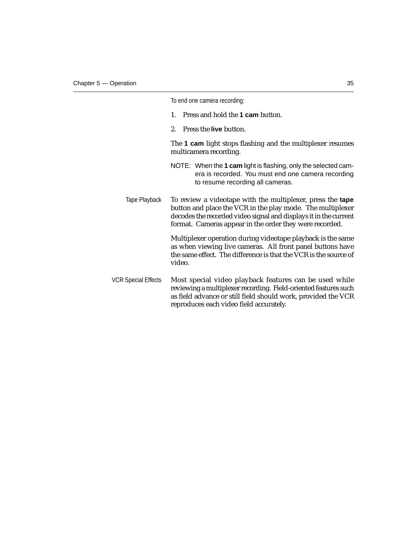|                     | To end one camera recording:                                                                                                                                                                                                                            |
|---------------------|---------------------------------------------------------------------------------------------------------------------------------------------------------------------------------------------------------------------------------------------------------|
|                     | Press and hold the 1 cam button.<br>1.                                                                                                                                                                                                                  |
|                     | Press the live button.<br>$2_{-}$                                                                                                                                                                                                                       |
|                     | The 1 cam light stops flashing and the multiplexer resumes<br>multicamera recording.                                                                                                                                                                    |
|                     | NOTE: When the 1 cam light is flashing, only the selected cam-<br>era is recorded. You must end one camera recording<br>to resume recording all cameras.                                                                                                |
| Tape Playback       | To review a videotape with the multiplexer, press the tape<br>button and place the VCR in the play mode. The multiplexer<br>decodes the recorded video signal and displays it in the current<br>format. Cameras appear in the order they were recorded. |
|                     | Multiplexer operation during videotape playback is the same<br>as when viewing live cameras. All front panel buttons have<br>the same effect. The difference is that the VCR is the source of<br>video.                                                 |
| VCR Special Effects | Most special video playback features can be used while<br>reviewing a multiplexer recording. Field-oriented features such<br>as field advance or still field should work, provided the VCR<br>reproduces each video field accurately.                   |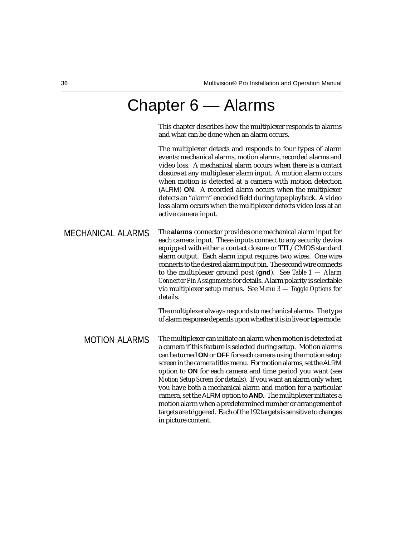### Chapter 6 — Alarms

This chapter describes how the multiplexer responds to alarms and what can be done when an alarm occurs.

The multiplexer detects and responds to four types of alarm events: mechanical alarms, motion alarms, recorded alarms and video loss. A mechanical alarm occurs when there is a contact closure at any multiplexer alarm input. A motion alarm occurs when motion is detected at a camera with motion detection (ALRM) **ON**. A recorded alarm occurs when the multiplexer detects an "alarm" encoded field during tape playback. A video loss alarm occurs when the multiplexer detects video loss at an active camera input.

MECHANICAL ALARMS The **alarms** connector provides one mechanical alarm input for each camera input. These inputs connect to any security device equipped with either a contact closure or TTL/CMOS standard alarm output. Each alarm input requires two wires. One wire connects to the desired alarm input pin. The second wire connects to the multiplexer ground post (**gnd**). See *Table 1 — Alarm Connector Pin Assignments* for details. Alarm polarity is selectable via multiplexer setup menus. See *Menu 3 — Toggle Options* for details.

> The multiplexer always responds to mechanical alarms. The type of alarm response depends upon whether it is in live or tape mode.

The multiplexer can initiate an alarm when motion is detected at a camera if this feature is selected during setup. Motion alarms can be turned **ON** or **OFF** for each camera using the motion setup screen in the camera titles menu. For motion alarms, set the ALRM option to **ON** for each camera and time period you want (see *Motion Setup Screen* for details). If you want an alarm only when you have both a mechanical alarm and motion for a particular camera, set the ALRM option to **AND.** The multiplexer initiates a motion alarm when a predetermined number or arrangement of targets are triggered. Each of the 192 targets is sensitive to changes in picture content. MOTION ALARMS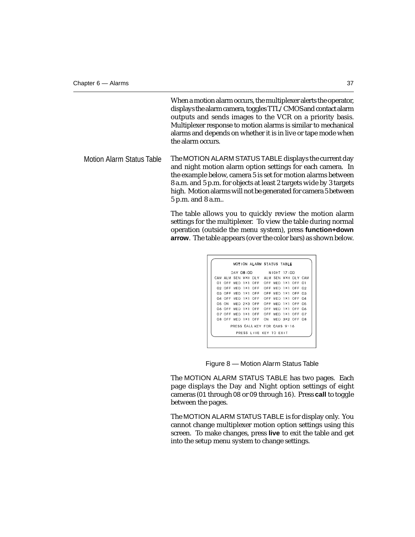When a motion alarm occurs, the multiplexer alerts the operator, displays the alarm camera, toggles TTL/CMOS and contact alarm outputs and sends images to the VCR on a priority basis. Multiplexer response to motion alarms is similar to mechanical alarms and depends on whether it is in live or tape mode when the alarm occurs.

Motion Alarm Status Table The MOTION ALARM STATUS TABLE displays the current day and night motion alarm option settings for each camera. In the example below, camera 5 is set for motion alarms between 8 a.m. and 5 p.m. for objects at least 2 targets wide by 3 targets high. Motion alarms will not be generated for camera 5 between 5 p.m. and 8 a.m..

> The table allows you to quickly review the motion alarm settings for the multiplexer. To view the table during normal operation (outside the menu system), press **function+down arrow**. The table appears (over the color bars) as shown below.

|     |        |         |             | MOTION ALARM STATUS TABLE    |             |             |                  |                |     |
|-----|--------|---------|-------------|------------------------------|-------------|-------------|------------------|----------------|-----|
|     |        |         |             | DAY 08 00 NIGHT 17 00        |             |             |                  |                |     |
|     |        |         |             | CAM ALM SEN WXH DLY ALM SEN  |             |             |                  | WXH DLY CAM    |     |
| O1. | OFF    | MED 1X1 |             | OFF OFF MED                  |             |             | 1 <sub>X</sub> 1 | OFF            | -01 |
|     | 02 OFF | MFD 1X1 |             | OFF                          | OFF MED 1X1 |             |                  | OFF 02         |     |
|     | O3 OFF |         | MED 1×1     | OFF                          |             | OFF MED 1X1 |                  | OFF 03         |     |
|     | O4 OFF | MED 1X1 |             | OFF                          |             | OFF MED     | 1x1              | OFF 04         |     |
|     | 05 ON  |         | MED 2X3 OFF |                              | OEE         |             | MED 1X1          | OFF 05         |     |
|     | 06 OFF |         | MED 1X1     | OFF                          | OFF         |             | MED 1X1          | OFF 06         |     |
|     | OZ OFF | MFD 1X1 |             | OFF OFF MED 1X1              |             |             |                  | OFF 07         |     |
|     |        |         |             | OS OFF MED 1X1 OFF           | ON          |             |                  | MED 3X2 OFF 08 |     |
|     |        |         |             | PRESS CALL KEY FOR CAMS 9-16 |             |             |                  |                |     |
|     |        |         |             | PRESS LIVE KEY TO EXIT       |             |             |                  |                |     |

Figure 8 — Motion Alarm Status Table

The MOTION ALARM STATUS TABLE has two pages. Each page displays the Day and Night option settings of eight cameras (01 through 08 or 09 through 16). Press **call** to toggle between the pages.

The MOTION ALARM STATUS TABLE is for display only. You cannot change multiplexer motion option settings using this screen. To make changes, press **live** to exit the table and get into the setup menu system to change settings.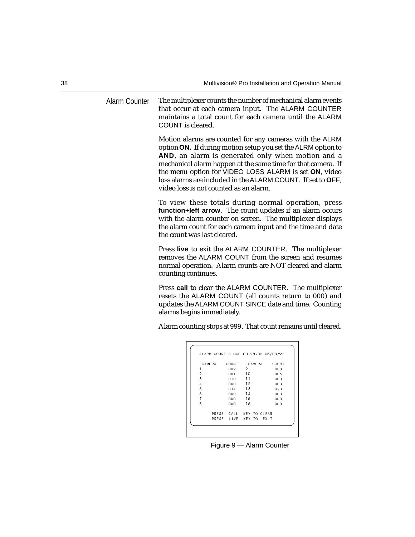Alarm Counter The multiplexer counts the number of mechanical alarm events that occur at each camera input. The ALARM COUNTER maintains a total count for each camera until the ALARM COUNT is cleared.

> Motion alarms are counted for any cameras with the ALRM option **ON.** If during motion setup you set the ALRM option to **AND**, an alarm is generated only when motion and a mechanical alarm happen at the same time for that camera. If the menu option for VIDEO LOSS ALARM is set **ON**, video loss alarms are included in the ALARM COUNT. If set to **OFF**, video loss is not counted as an alarm.

> To view these totals during normal operation, press **function+left arrow**. The count updates if an alarm occurs with the alarm counter on screen. The multiplexer displays the alarm count for each camera input and the time and date the count was last cleared.

> Press **live** to exit the ALARM COUNTER. The multiplexer removes the ALARM COUNT from the screen and resumes normal operation. Alarm counts are NOT cleared and alarm counting continues.

> Press **call** to clear the ALARM COUNTER. The multiplexer resets the ALARM COUNT (all counts return to 000) and updates the ALARM COUNT SINCE date and time. Counting alarms begins immediately.

> Alarm counting stops at 999. That count remains until cleared.

|                | ALARM COUNT SINCE 00 28 02 05/03/97 |    |        |      |       |
|----------------|-------------------------------------|----|--------|------|-------|
| CAMERA         | <b>COUNT</b>                        |    | CAMERA |      | COUNT |
|                | 009                                 | 9  |        |      | 000   |
| $\overline{2}$ | 001                                 | 10 |        |      | 005   |
| 3              | 010                                 | 11 |        |      | 000   |
| $\overline{4}$ | 000                                 | 12 |        |      | 000   |
| 5              | 014                                 | 13 |        |      | 020   |
| 6              | nnn                                 | 14 |        |      | 000   |
| $\overline{7}$ | 000                                 | 15 |        |      | 000   |
| 8              | 000                                 | 16 |        |      | 000   |
|                | PRESS CALL KEY TO CLEAR             |    |        |      |       |
|                | PRESS LIVE KEY TO                   |    |        | EXIT |       |

Figure 9 — Alarm Counter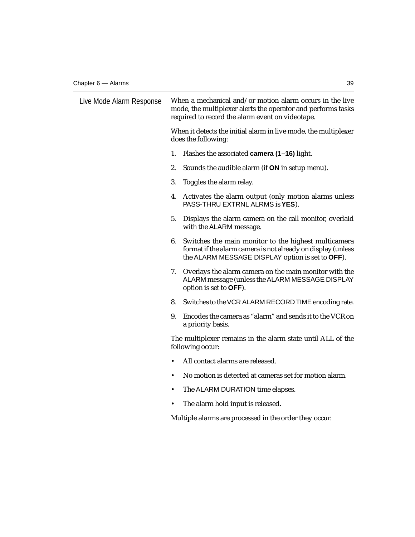| Live Mode Alarm Response | When a mechanical and/or motion alarm occurs in the live<br>mode, the multiplexer alerts the operator and performs tasks<br>required to record the alarm event on videotape.   |  |  |  |  |
|--------------------------|--------------------------------------------------------------------------------------------------------------------------------------------------------------------------------|--|--|--|--|
|                          | When it detects the initial alarm in live mode, the multiplexer<br>does the following:                                                                                         |  |  |  |  |
|                          | 1.<br>Flashes the associated camera (1-16) light.                                                                                                                              |  |  |  |  |
|                          | 2.<br>Sounds the audible alarm (if ON in setup menu).                                                                                                                          |  |  |  |  |
|                          | 3.<br>Toggles the alarm relay.                                                                                                                                                 |  |  |  |  |
|                          | 4.<br>Activates the alarm output (only motion alarms unless<br>PASS-THRU EXTRNL ALRMS is YES).                                                                                 |  |  |  |  |
|                          | 5.<br>Displays the alarm camera on the call monitor, overlaid<br>with the ALARM message.                                                                                       |  |  |  |  |
|                          | 6.<br>Switches the main monitor to the highest multicamera<br>format if the alarm camera is not already on display (unless<br>the ALARM MESSAGE DISPLAY option is set to OFF). |  |  |  |  |
|                          | 7.<br>Overlays the alarm camera on the main monitor with the<br>ALARM message (unless the ALARM MESSAGE DISPLAY<br>option is set to OFF).                                      |  |  |  |  |
|                          | Switches to the VCR ALARM RECORD TIME encoding rate.<br>8.                                                                                                                     |  |  |  |  |
|                          | Encodes the camera as "alarm" and sends it to the VCR on<br>9.<br>a priority basis.                                                                                            |  |  |  |  |
|                          | The multiplexer remains in the alarm state until ALL of the<br>following occur:                                                                                                |  |  |  |  |
|                          | All contact alarms are released.<br>$\bullet$                                                                                                                                  |  |  |  |  |
|                          | No motion is detected at cameras set for motion alarm.<br>$\bullet$                                                                                                            |  |  |  |  |
|                          | The ALARM DURATION time elapses.<br>$\bullet$                                                                                                                                  |  |  |  |  |
|                          | The alarm hold input is released.                                                                                                                                              |  |  |  |  |
|                          | Multiple alarms are processed in the order they occur.                                                                                                                         |  |  |  |  |
|                          |                                                                                                                                                                                |  |  |  |  |
|                          |                                                                                                                                                                                |  |  |  |  |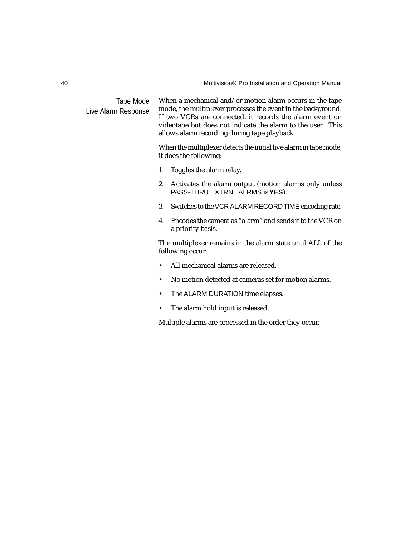| Tape Mode<br>Live Alarm Response |    | When a mechanical and/or motion alarm occurs in the tape<br>mode, the multiplexer processes the event in the background.<br>If two VCRs are connected, it records the alarm event on<br>videotape but does not indicate the alarm to the user. This<br>allows alarm recording during tape playback. |
|----------------------------------|----|-----------------------------------------------------------------------------------------------------------------------------------------------------------------------------------------------------------------------------------------------------------------------------------------------------|
|                                  |    | When the multiplexer detects the initial live alarm in tape mode,<br>it does the following:                                                                                                                                                                                                         |
|                                  | 1. | Toggles the alarm relay.                                                                                                                                                                                                                                                                            |
|                                  | 2. | Activates the alarm output (motion alarms only unless<br>PASS-THRU EXTRNL ALRMS is YES).                                                                                                                                                                                                            |
|                                  | 3. | Switches to the VCR ALARM RECORD TIME encoding rate.                                                                                                                                                                                                                                                |
|                                  | 4. | Encodes the camera as "alarm" and sends it to the VCR on<br>a priority basis.                                                                                                                                                                                                                       |
|                                  |    | The multiplexer remains in the alarm state until ALL of the<br>following occur:                                                                                                                                                                                                                     |
|                                  |    | All mechanical alarms are released.                                                                                                                                                                                                                                                                 |
|                                  | ٠  | No motion detected at cameras set for motion alarms.                                                                                                                                                                                                                                                |
|                                  | ٠  | The ALARM DURATION time elapses.                                                                                                                                                                                                                                                                    |
|                                  |    | The alarm hold input is released.                                                                                                                                                                                                                                                                   |
|                                  |    | Multiple alarms are processed in the order they occur.                                                                                                                                                                                                                                              |
|                                  |    |                                                                                                                                                                                                                                                                                                     |
|                                  |    |                                                                                                                                                                                                                                                                                                     |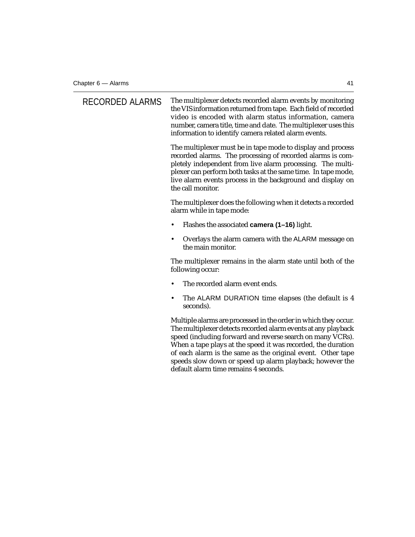| <b>RECORDED ALARMS</b> | The multiplexer detects recorded alarm events by monitoring<br>the VIS information returned from tape. Each field of recorded<br>video is encoded with alarm status information, camera<br>number, camera title, time and date. The multiplexer uses this<br>information to identify camera related alarm events.                                                                                                                  |
|------------------------|------------------------------------------------------------------------------------------------------------------------------------------------------------------------------------------------------------------------------------------------------------------------------------------------------------------------------------------------------------------------------------------------------------------------------------|
|                        | The multiplexer must be in tape mode to display and process<br>recorded alarms. The processing of recorded alarms is com-<br>pletely independent from live alarm processing. The multi-<br>plexer can perform both tasks at the same time. In tape mode,<br>live alarm events process in the background and display on<br>the call monitor.                                                                                        |
|                        | The multiplexer does the following when it detects a recorded<br>alarm while in tape mode:                                                                                                                                                                                                                                                                                                                                         |
|                        | Flashes the associated camera (1-16) light.                                                                                                                                                                                                                                                                                                                                                                                        |
|                        | Overlays the alarm camera with the ALARM message on<br>$\bullet$<br>the main monitor.                                                                                                                                                                                                                                                                                                                                              |
|                        | The multiplexer remains in the alarm state until both of the<br>following occur:                                                                                                                                                                                                                                                                                                                                                   |
|                        | The recorded alarm event ends.                                                                                                                                                                                                                                                                                                                                                                                                     |
|                        | The ALARM DURATION time elapses (the default is 4<br>٠<br>seconds).                                                                                                                                                                                                                                                                                                                                                                |
|                        | Multiple alarms are processed in the order in which they occur.<br>The multiplexer detects recorded alarm events at any playback<br>speed (including forward and reverse search on many VCRs).<br>When a tape plays at the speed it was recorded, the duration<br>of each alarm is the same as the original event. Other tape<br>speeds slow down or speed up alarm playback; however the<br>default alarm time remains 4 seconds. |
|                        |                                                                                                                                                                                                                                                                                                                                                                                                                                    |
|                        |                                                                                                                                                                                                                                                                                                                                                                                                                                    |
|                        |                                                                                                                                                                                                                                                                                                                                                                                                                                    |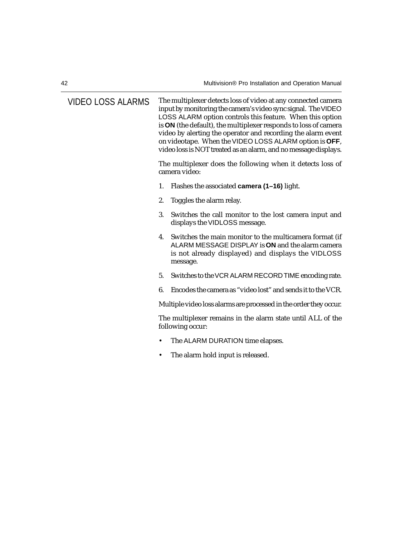| <b>VIDEO LOSS ALARMS</b> | The multiplexer detects loss of video at any connected camera<br>input by monitoring the camera's video sync signal. The VIDEO<br>LOSS ALARM option controls this feature. When this option<br>is ON (the default), the multiplexer responds to loss of camera<br>video by alerting the operator and recording the alarm event<br>on videotape. When the VIDEO LOSS ALARM option is OFF,<br>video loss is NOT treated as an alarm, and no message displays. |
|--------------------------|-------------------------------------------------------------------------------------------------------------------------------------------------------------------------------------------------------------------------------------------------------------------------------------------------------------------------------------------------------------------------------------------------------------------------------------------------------------|
|                          | The multiplexer does the following when it detects loss of<br>camera video:                                                                                                                                                                                                                                                                                                                                                                                 |
|                          | Flashes the associated camera (1-16) light.<br>1.                                                                                                                                                                                                                                                                                                                                                                                                           |
|                          | 2.<br>Toggles the alarm relay.                                                                                                                                                                                                                                                                                                                                                                                                                              |
|                          | 3.<br>Switches the call monitor to the lost camera input and<br>displays the VIDLOSS message.                                                                                                                                                                                                                                                                                                                                                               |
|                          | Switches the main monitor to the multicamera format (if<br>4.<br>ALARM MESSAGE DISPLAY is ON and the alarm camera<br>is not already displayed) and displays the VIDLOSS<br>message.                                                                                                                                                                                                                                                                         |
|                          | 5.<br>Switches to the VCR ALARM RECORD TIME encoding rate.                                                                                                                                                                                                                                                                                                                                                                                                  |
|                          | Encodes the camera as "video lost" and sends it to the VCR.<br>6.                                                                                                                                                                                                                                                                                                                                                                                           |
|                          | Multiple video loss alarms are processed in the order they occur.                                                                                                                                                                                                                                                                                                                                                                                           |
|                          | The multiplexer remains in the alarm state until ALL of the<br>following occur:                                                                                                                                                                                                                                                                                                                                                                             |
|                          | The ALARM DURATION time elapses.<br>$\bullet$                                                                                                                                                                                                                                                                                                                                                                                                               |
|                          | The alarm hold input is released.<br>٠                                                                                                                                                                                                                                                                                                                                                                                                                      |
|                          |                                                                                                                                                                                                                                                                                                                                                                                                                                                             |
|                          |                                                                                                                                                                                                                                                                                                                                                                                                                                                             |
|                          |                                                                                                                                                                                                                                                                                                                                                                                                                                                             |
|                          |                                                                                                                                                                                                                                                                                                                                                                                                                                                             |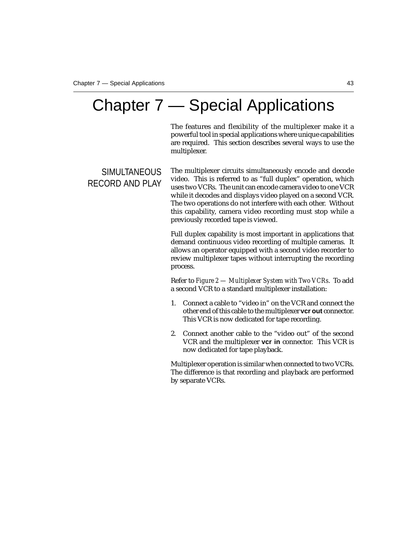# Chapter 7 — Special Applications

The features and flexibility of the multiplexer make it a powerful tool in special applications where unique capabilities are required. This section describes several ways to use the multiplexer.

#### **SIMULTANEOUS** RECORD AND PLAY

The multiplexer circuits simultaneously encode and decode video. This is referred to as "full duplex" operation, which uses two VCRs. The unit can encode camera video to one VCR while it decodes and displays video played on a second VCR. The two operations do not interfere with each other. Without this capability, camera video recording must stop while a previously recorded tape is viewed.

Full duplex capability is most important in applications that demand continuous video recording of multiple cameras. It allows an operator equipped with a second video recorder to review multiplexer tapes without interrupting the recording process.

Refer to *Figure 2 — Multiplexer System with Two VCRs*. To add a second VCR to a standard multiplexer installation:

- 1. Connect a cable to "video in" on the VCR and connect the other end of this cable to the multiplexer **vcr out** connector. This VCR is now dedicated for tape recording.
- 2. Connect another cable to the "video out" of the second VCR and the multiplexer **vcr in** connector. This VCR is now dedicated for tape playback.

Multiplexer operation is similar when connected to two VCRs. The difference is that recording and playback are performed by separate VCRs.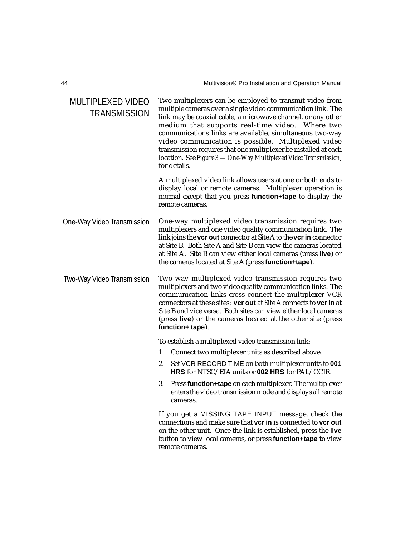| <b>MULTIPLEXED VIDEO</b><br><b>TRANSMISSION</b> | Two multiplexers can be employed to transmit video from<br>multiple cameras over a single video communication link. The<br>link may be coaxial cable, a microwave channel, or any other<br>medium that supports real-time video. Where two<br>communications links are available, simultaneous two-way<br>video communication is possible. Multiplexed video<br>transmission requires that one multiplexer be installed at each<br>location. See Figure 3 - One-Way Multiplexed Video Transmission,<br>for details. |  |
|-------------------------------------------------|---------------------------------------------------------------------------------------------------------------------------------------------------------------------------------------------------------------------------------------------------------------------------------------------------------------------------------------------------------------------------------------------------------------------------------------------------------------------------------------------------------------------|--|
|                                                 | A multiplexed video link allows users at one or both ends to<br>display local or remote cameras. Multiplexer operation is<br>normal except that you press function+tape to display the<br>remote cameras.                                                                                                                                                                                                                                                                                                           |  |
| One-Way Video Transmission                      | One-way multiplexed video transmission requires two<br>multiplexers and one video quality communication link. The<br>link joins the <b>vcr out</b> connector at Site A to the <b>vcr in</b> connector<br>at Site B. Both Site A and Site B can view the cameras located<br>at Site A. Site B can view either local cameras (press live) or<br>the cameras located at Site A (press function+tape).                                                                                                                  |  |
| Two-Way Video Transmission                      | Two-way multiplexed video transmission requires two<br>multiplexers and two video quality communication links. The<br>communication links cross connect the multiplexer VCR<br>connectors at these sites: vcr out at Site A connects to vcr in at<br>Site B and vice versa. Both sites can view either local cameras<br>(press live) or the cameras located at the other site (press<br>function+ tape).                                                                                                            |  |
|                                                 | To establish a multiplexed video transmission link:                                                                                                                                                                                                                                                                                                                                                                                                                                                                 |  |
|                                                 | Connect two multiplexer units as described above.<br>1.                                                                                                                                                                                                                                                                                                                                                                                                                                                             |  |
|                                                 | Set VCR RECORD TIME on both multiplexer units to 001<br>2.<br>HRS for NTSC/EIA units or 002 HRS for PAL/CCIR.                                                                                                                                                                                                                                                                                                                                                                                                       |  |
|                                                 | 3.<br>Press function+tape on each multiplexer. The multiplexer<br>enters the video transmission mode and displays all remote<br>cameras.                                                                                                                                                                                                                                                                                                                                                                            |  |
|                                                 | If you get a MISSING TAPE INPUT message, check the<br>connections and make sure that vcr in is connected to vcr out<br>on the other unit. Once the link is established, press the live<br>button to view local cameras, or press function+tape to view<br>remote cameras.                                                                                                                                                                                                                                           |  |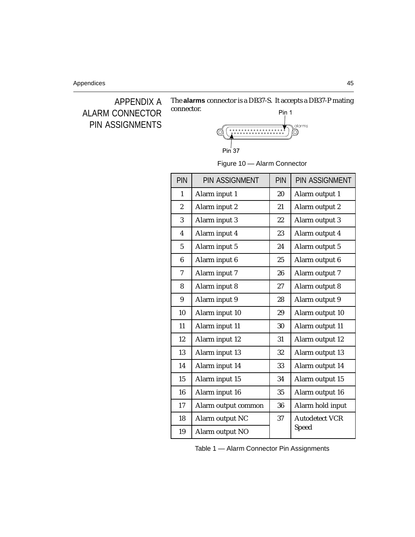

The **alarms** connector is a DB37-S. It accepts a DB37-P mating connector. Pin 1



Figure 10 — Alarm Connector

| <b>PIN</b>              | <b>PIN ASSIGNMENT</b> | <b>PIN</b> | <b>PIN ASSIGNMENT</b> |
|-------------------------|-----------------------|------------|-----------------------|
| 1                       | Alarm input 1         | 20         | Alarm output 1        |
| $\overline{2}$          | Alarm input 2         | 21         | Alarm output 2        |
| 3                       | Alarm input 3         | 22         | Alarm output 3        |
| $\overline{\mathbf{4}}$ | Alarm input 4         | 23         | Alarm output 4        |
| $\overline{5}$          | Alarm input 5         | 24         | Alarm output 5        |
| $6\phantom{1}$          | Alarm input 6         | 25         | Alarm output 6        |
| 7                       | Alarm input 7         | 26         | Alarm output 7        |
| 8                       | Alarm input 8         | 27         | Alarm output 8        |
| 9                       | Alarm input 9         | 28         | Alarm output 9        |
| 10                      | Alarm input 10        | 29         | Alarm output 10       |
| 11                      | Alarm input 11        | 30         | Alarm output 11       |
| 12                      | Alarm input 12        | 31         | Alarm output 12       |
| 13                      | Alarm input 13        | 32         | Alarm output 13       |
| 14                      | Alarm input 14        | 33         | Alarm output 14       |
| 15                      | Alarm input 15        | 34         | Alarm output 15       |
| 16                      | Alarm input 16        | 35         | Alarm output 16       |
| 17                      | Alarm output common   | 36         | Alarm hold input      |
| 18                      | Alarm output NC       | 37         | <b>Autodetect VCR</b> |
| 19                      | Alarm output NO       |            | Speed                 |

Table 1 — Alarm Connector Pin Assignments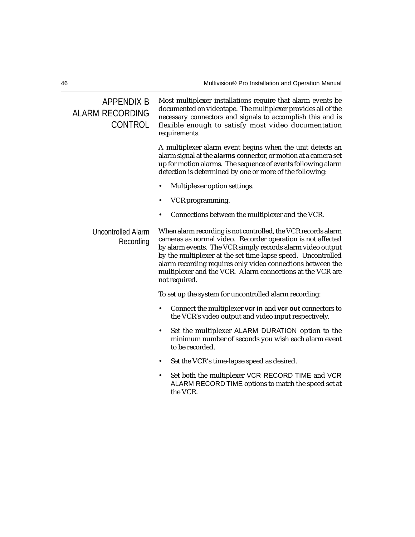#### APPENDIX B ALARM RECORDING **CONTROL**

Most multiplexer installations require that alarm events be documented on videotape. The multiplexer provides all of the necessary connectors and signals to accomplish this and is flexible enough to satisfy most video documentation requirements.

A multiplexer alarm event begins when the unit detects an alarm signal at the **alarms** connector, or motion at a camera set up for motion alarms. The sequence of events following alarm detection is determined by one or more of the following:

- Multiplexer option settings.
- VCR programming.

not required.

• Connections between the multiplexer and the VCR.

#### Uncontrolled Alarm Recording When alarm recording is not controlled, the VCR records alarm cameras as normal video. Recorder operation is not affected by alarm events. The VCR simply records alarm video output by the multiplexer at the set time-lapse speed. Uncontrolled alarm recording requires only video connections between the

To set up the system for uncontrolled alarm recording:

• Connect the multiplexer **vcr in** and **vcr out** connectors to the VCR's video output and video input respectively.

multiplexer and the VCR. Alarm connections at the VCR are

- Set the multiplexer ALARM DURATION option to the minimum number of seconds you wish each alarm event to be recorded.
- Set the VCR's time-lapse speed as desired.
- Set both the multiplexer VCR RECORD TIME and VCR ALARM RECORD TIME options to match the speed set at the VCR.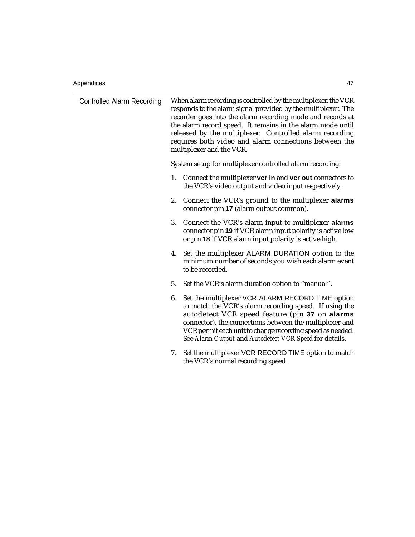| Controlled Alarm Recording |    | When alarm recording is controlled by the multiplexer, the VCR<br>responds to the alarm signal provided by the multiplexer. The<br>recorder goes into the alarm recording mode and records at<br>the alarm record speed. It remains in the alarm mode until<br>released by the multiplexer. Controlled alarm recording<br>requires both video and alarm connections between the<br>multiplexer and the VCR. |  |
|----------------------------|----|-------------------------------------------------------------------------------------------------------------------------------------------------------------------------------------------------------------------------------------------------------------------------------------------------------------------------------------------------------------------------------------------------------------|--|
|                            |    | System setup for multiplexer controlled alarm recording:                                                                                                                                                                                                                                                                                                                                                    |  |
|                            | 1. | Connect the multiplexer vcr in and vcr out connectors to<br>the VCR's video output and video input respectively.                                                                                                                                                                                                                                                                                            |  |
|                            | 2. | Connect the VCR's ground to the multiplexer alarms<br>connector pin 17 (alarm output common).                                                                                                                                                                                                                                                                                                               |  |
|                            | 3. | Connect the VCR's alarm input to multiplexer alarms<br>connector pin 19 if VCR alarm input polarity is active low<br>or pin 18 if VCR alarm input polarity is active high.                                                                                                                                                                                                                                  |  |
|                            | 4. | Set the multiplexer ALARM DURATION option to the<br>minimum number of seconds you wish each alarm event<br>to be recorded.                                                                                                                                                                                                                                                                                  |  |
|                            | 5. | Set the VCR's alarm duration option to "manual".                                                                                                                                                                                                                                                                                                                                                            |  |
|                            | 6. | Set the multiplexer VCR ALARM RECORD TIME option<br>to match the VCR's alarm recording speed. If using the<br>autodetect VCR speed feature (pin 37 on alarms<br>connector), the connections between the multiplexer and<br>VCR permit each unit to change recording speed as needed.<br>See Alarm Output and Autodetect VCR Speed for details.                                                              |  |
|                            | 7. | Set the multiplexer VCR RECORD TIME option to match<br>the VCR's normal recording speed.                                                                                                                                                                                                                                                                                                                    |  |
|                            |    |                                                                                                                                                                                                                                                                                                                                                                                                             |  |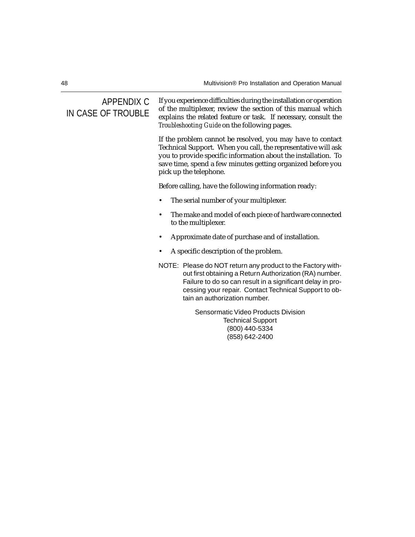#### APPENDIX C IN CASE OF TROUBLE

If you experience difficulties during the installation or operation of the multiplexer, review the section of this manual which explains the related feature or task. If necessary, consult the *Troubleshooting Guide* on the following pages.

If the problem cannot be resolved, you may have to contact Technical Support. When you call, the representative will ask you to provide specific information about the installation. To save time, spend a few minutes getting organized before you pick up the telephone.

Before calling, have the following information ready:

- The serial number of your multiplexer.
- The make and model of each piece of hardware connected to the multiplexer.
- Approximate date of purchase and of installation.
- A specific description of the problem.
- NOTE: Please do NOT return any product to the Factory without first obtaining a Return Authorization (RA) number. Failure to do so can result in a significant delay in processing your repair. Contact Technical Support to obtain an authorization number.

Sensormatic Video Products Division Technical Support (800) 440-5334 (858) 642-2400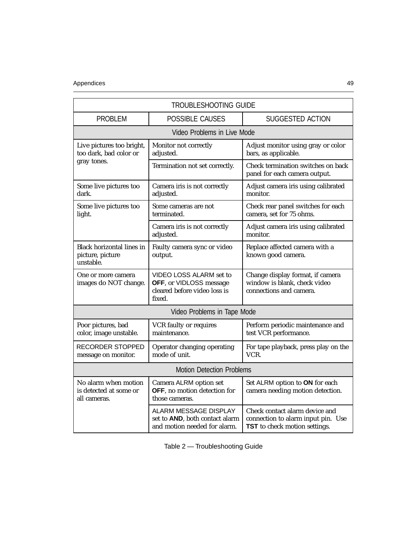#### Appendices 49

| <b>TROUBLESHOOTING GUIDE</b>                                      |                                                                                              |                                                                                                              |  |  |
|-------------------------------------------------------------------|----------------------------------------------------------------------------------------------|--------------------------------------------------------------------------------------------------------------|--|--|
| <b>PROBLEM</b>                                                    | POSSIBLE CAUSES                                                                              | SUGGESTED ACTION                                                                                             |  |  |
|                                                                   | Video Problems in Live Mode                                                                  |                                                                                                              |  |  |
| Live pictures too bright,<br>too dark, bad color or               | Monitor not correctly<br>adjusted.                                                           | Adjust monitor using gray or color<br>bars, as applicable.                                                   |  |  |
| gray tones.                                                       | Termination not set correctly.                                                               | Check termination switches on back<br>panel for each camera output.                                          |  |  |
| Some live pictures too<br>dark.                                   | Camera iris is not correctly<br>adjusted.                                                    | Adjust camera iris using calibrated<br>monitor.                                                              |  |  |
| Some live pictures too<br>light.                                  | Some cameras are not<br>terminated.                                                          | Check rear panel switches for each<br>camera, set for 75 ohms.                                               |  |  |
|                                                                   | Camera iris is not correctly<br>adjusted.                                                    | Adjust camera iris using calibrated<br>monitor.                                                              |  |  |
| <b>Black horizontal lines in</b><br>picture, picture<br>unstable. | Faulty camera sync or video<br>output.                                                       | Replace affected camera with a<br>known good camera.                                                         |  |  |
| One or more camera<br>images do NOT change.                       | VIDEO LOSS ALARM set to<br>OFF, or VIDLOSS message<br>cleared before video loss is<br>fixed. | Change display format, if camera<br>window is blank, check video<br>connections and camera.                  |  |  |
| Video Problems in Tape Mode                                       |                                                                                              |                                                                                                              |  |  |
| Poor pictures, bad<br>color, image unstable.                      | VCR faulty or requires<br>maintenance.                                                       | Perform periodic maintenance and<br>test VCR performance.                                                    |  |  |
| <b>RECORDER STOPPED</b><br>message on monitor.                    | Operator changing operating<br>mode of unit.                                                 | For tape playback, press play on the<br>VCR.                                                                 |  |  |
| <b>Motion Detection Problems</b>                                  |                                                                                              |                                                                                                              |  |  |
| No alarm when motion<br>is detected at some or<br>all cameras.    | Camera ALRM option set<br>OFF, no motion detection for<br>those cameras.                     | Set ALRM option to ON for each<br>camera needing motion detection.                                           |  |  |
|                                                                   | ALARM MESSAGE DISPLAY<br>set to AND, both contact alarm<br>and motion needed for alarm.      | Check contact alarm device and<br>connection to alarm input pin. Use<br><b>TST</b> to check motion settings. |  |  |

Table 2 — Troubleshooting Guide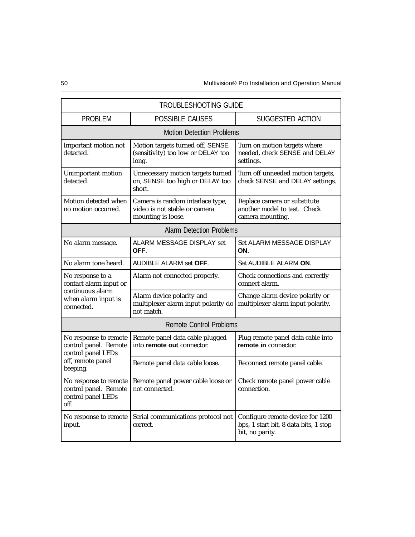| <b>TROUBLESHOOTING GUIDE</b>                                                                        |                                                                                         |                                                                                              |  |  |  |
|-----------------------------------------------------------------------------------------------------|-----------------------------------------------------------------------------------------|----------------------------------------------------------------------------------------------|--|--|--|
| <b>PROBLEM</b><br><b>POSSIBLE CAUSES</b>                                                            |                                                                                         | SUGGESTED ACTION                                                                             |  |  |  |
|                                                                                                     | <b>Motion Detection Problems</b>                                                        |                                                                                              |  |  |  |
| Important motion not<br>detected.                                                                   | Motion targets turned off, SENSE<br>(sensitivity) too low or DELAY too<br>long.         | Turn on motion targets where<br>needed, check SENSE and DELAY<br>settings.                   |  |  |  |
| Unimportant motion<br>detected.                                                                     | Unnecessary motion targets turned<br>on, SENSE too high or DELAY too<br>short.          | Turn off unneeded motion targets,<br>check SENSE and DELAY settings.                         |  |  |  |
| Motion detected when<br>no motion occurred.                                                         | Camera is random interlace type,<br>video is not stable or camera<br>mounting is loose. | Replace camera or substitute<br>another model to test. Check<br>camera mounting.             |  |  |  |
| <b>Alarm Detection Problems</b>                                                                     |                                                                                         |                                                                                              |  |  |  |
| No alarm message.                                                                                   | ALARM MESSAGE DISPLAY set<br>OFF.                                                       | Set ALARM MESSAGE DISPLAY<br>ON.                                                             |  |  |  |
| No alarm tone heard.                                                                                | <b>AUDIBLE ALARM set OFF.</b>                                                           | Set AUDIBLE ALARM ON.                                                                        |  |  |  |
| No response to a<br>contact alarm input or<br>continuous alarm<br>when alarm input is<br>connected. | Alarm not connected properly.                                                           | Check connections and correctly<br>connect alarm.                                            |  |  |  |
|                                                                                                     | Alarm device polarity and<br>multiplexer alarm input polarity do<br>not match.          | Change alarm device polarity or<br>multiplexer alarm input polarity.                         |  |  |  |
| <b>Remote Control Problems</b>                                                                      |                                                                                         |                                                                                              |  |  |  |
| No response to remote<br>control panel. Remote<br>control panel LEDs                                | Remote panel data cable plugged<br>into remote out connector.                           | Plug remote panel data cable into<br>remote in connector.                                    |  |  |  |
| off, remote panel<br>beeping.                                                                       | Remote panel data cable loose.                                                          | Reconnect remote panel cable.                                                                |  |  |  |
| No response to remote<br>control panel. Remote<br>control panel LEDs<br>off.                        | Remote panel power cable loose or<br>not connected.                                     | Check remote panel power cable<br>connection.                                                |  |  |  |
| No response to remote<br>input.                                                                     | Serial communications protocol not<br>correct.                                          | Configure remote device for 1200<br>bps, 1 start bit, 8 data bits, 1 stop<br>bit, no parity. |  |  |  |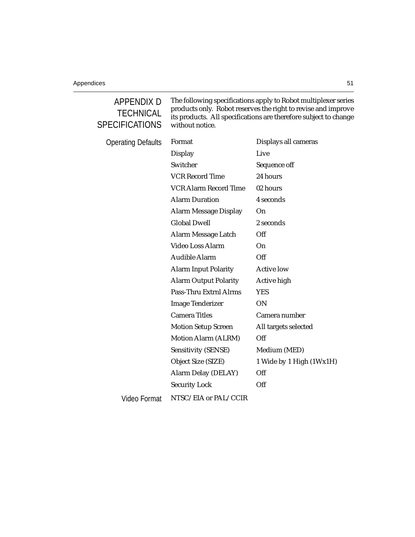### APPENDIX D **TECHNICAL SPECIFICATIONS**

The following specifications apply to Robot multiplexer series products only. Robot reserves the right to revise and improve its products. All specifications are therefore subject to change without notice.

Operating D

| ating Defaults | Format                       | Displays all cameras     |
|----------------|------------------------------|--------------------------|
|                | <b>Display</b>               | Live                     |
|                | Switcher                     | Sequence off             |
|                | <b>VCR Record Time</b>       | 24 hours                 |
|                | <b>VCR Alarm Record Time</b> | 02 hours                 |
|                | <b>Alarm Duration</b>        | 4 seconds                |
|                | <b>Alarm Message Display</b> | 0 <sub>n</sub>           |
|                | <b>Global Dwell</b>          | 2 seconds                |
|                | Alarm Message Latch          | Off                      |
|                | Video Loss Alarm             | O <sub>n</sub>           |
|                | <b>Audible Alarm</b>         | Off                      |
|                | <b>Alarm Input Polarity</b>  | <b>Active low</b>        |
|                | <b>Alarm Output Polarity</b> | Active high              |
|                | Pass-Thru Extrnl Alrms       | <b>YES</b>               |
|                | <b>Image Tenderizer</b>      | <b>ON</b>                |
|                | <b>Camera Titles</b>         | Camera number            |
|                | <b>Motion Setup Screen</b>   | All targets selected     |
|                | Motion Alarm (ALRM)          | Off                      |
|                | Sensitivity (SENSE)          | Medium (MED)             |
|                | Object Size (SIZE)           | 1 Wide by 1 High (1Wx1H) |
|                | Alarm Delay (DELAY)          | Off                      |
|                | <b>Security Lock</b>         | Off                      |
| Video Format   | NTSC/EIA or PAL/CCIR         |                          |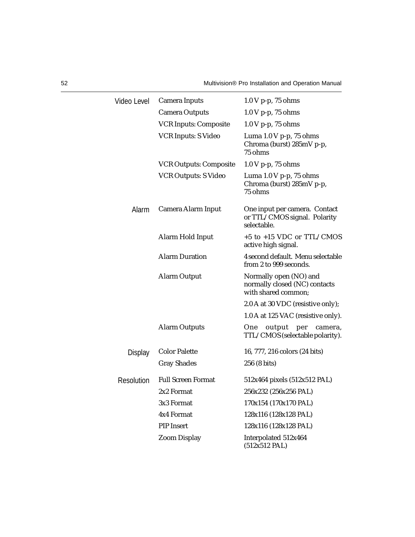| Video Level       | <b>Camera Inputs</b>          | $1.0 V$ p-p, 75 ohms                                                           |
|-------------------|-------------------------------|--------------------------------------------------------------------------------|
|                   | <b>Camera Outputs</b>         | $1.0 V$ p-p, 75 ohms                                                           |
|                   | <b>VCR Inputs: Composite</b>  | $1.0 V$ p-p, 75 ohms                                                           |
|                   | <b>VCR Inputs: S Video</b>    | Luma $1.0 V$ p-p, $75$ ohms<br>Chroma (burst) 285mV p-p,<br>75 ohms            |
|                   | <b>VCR Outputs: Composite</b> | 1.0 V p-p, 75 ohms                                                             |
|                   | <b>VCR Outputs: S Video</b>   | Luma $1.0 V$ p-p, $75$ ohms<br>Chroma (burst) 285mV p-p,<br>75 ohms            |
| Alarm             | Camera Alarm Input            | One input per camera. Contact<br>or TTL/CMOS signal. Polarity<br>selectable.   |
|                   | Alarm Hold Input              | $+5$ to $+15$ VDC or TTL/CMOS<br>active high signal.                           |
|                   | <b>Alarm Duration</b>         | 4 second default. Menu selectable<br>from 2 to 999 seconds.                    |
|                   | <b>Alarm Output</b>           | Normally open (NO) and<br>normally closed (NC) contacts<br>with shared common: |
|                   |                               | 2.0 A at 30 VDC (resistive only);                                              |
|                   |                               | 1.0 A at 125 VAC (resistive only).                                             |
|                   | <b>Alarm Outputs</b>          | One<br>output<br>per<br>camera,<br>TTL/CMOS (selectable polarity).             |
| <b>Display</b>    | <b>Color Palette</b>          | 16, 777, 216 colors (24 bits)                                                  |
|                   | <b>Gray Shades</b>            | 256 (8 bits)                                                                   |
| <b>Resolution</b> | <b>Full Screen Format</b>     | 512x464 pixels (512x512 PAL)                                                   |
|                   | 2x2 Format                    | 256x232 (256x256 PAL)                                                          |
|                   | 3x3 Format                    | 170x154 (170x170 PAL)                                                          |
|                   | 4x4 Format                    | 128x116 (128x128 PAL)                                                          |
|                   | <b>PIP</b> Insert             | 128x116 (128x128 PAL)                                                          |
|                   | <b>Zoom Display</b>           | Interpolated 512x464<br>$(512x512$ PAL)                                        |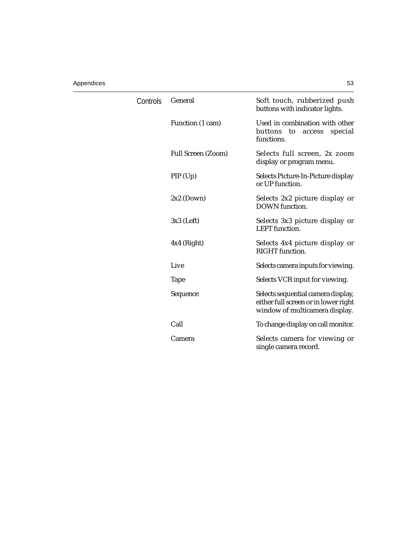#### Appendices 53

| Controls | General            | Soft touch, rubberized push<br>buttons with indicator lights.                                                |
|----------|--------------------|--------------------------------------------------------------------------------------------------------------|
|          | Function (1 cam)   | Used in combination with other<br>buttons to<br>access<br>special<br>functions.                              |
|          | Full Screen (Zoom) | Selects full screen, 2x zoom<br>display or program menu.                                                     |
|          | PIP(Up)            | Selects Picture-In-Picture display<br>or UP function.                                                        |
|          | $2x2$ (Down)       | Selects 2x2 picture display or<br><b>DOWN</b> function.                                                      |
|          | $3x3$ (Left)       | Selects 3x3 picture display or<br><b>LEFT</b> function.                                                      |
|          | $4x4$ (Right)      | Selects 4x4 picture display or<br><b>RIGHT</b> function.                                                     |
|          | Live               | Selects camera inputs for viewing.                                                                           |
|          | <b>Tape</b>        | Selects VCR input for viewing.                                                                               |
|          | Sequence           | Selects sequential camera display,<br>either full screen or in lower right<br>window of multicamera display. |
|          | Call               | To change display on call monitor.                                                                           |
|          | Camera             | Selects camera for viewing or<br>single camera record.                                                       |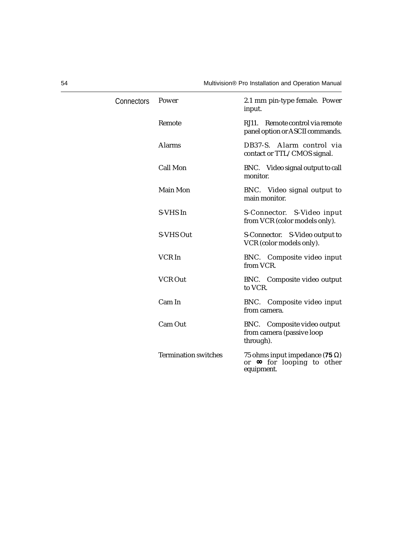| Connectors | Power                       | 2.1 mm pin-type female. Power<br>input.                                                  |
|------------|-----------------------------|------------------------------------------------------------------------------------------|
|            | Remote                      | RJ11. Remote control via remote<br>panel option or ASCII commands.                       |
|            | <b>Alarms</b>               | DB37-S. Alarm control via<br>contact or TTL/CMOS signal.                                 |
|            | <b>Call Mon</b>             | BNC. Video signal output to call<br>monitor.                                             |
|            | Main Mon                    | BNC. Video signal output to<br>main monitor.                                             |
|            | S-VHS In                    | S-Connector. S-Video input<br>from VCR (color models only).                              |
|            | S-VHS Out                   | S-Connector. S-Video output to<br>VCR (color models only).                               |
|            | VCR In                      | BNC. Composite video input<br>from VCR.                                                  |
|            | <b>VCR Out</b>              | BNC. Composite video output<br>to VCR.                                                   |
|            | Cam In                      | BNC. Composite video input<br>from camera.                                               |
|            | Cam Out                     | BNC. Composite video output<br>from camera (passive loop<br>through).                    |
|            | <b>Termination switches</b> | 75 ohms input impedance (75 $\Omega$ )<br>or $\infty$ for looping to other<br>equipment. |